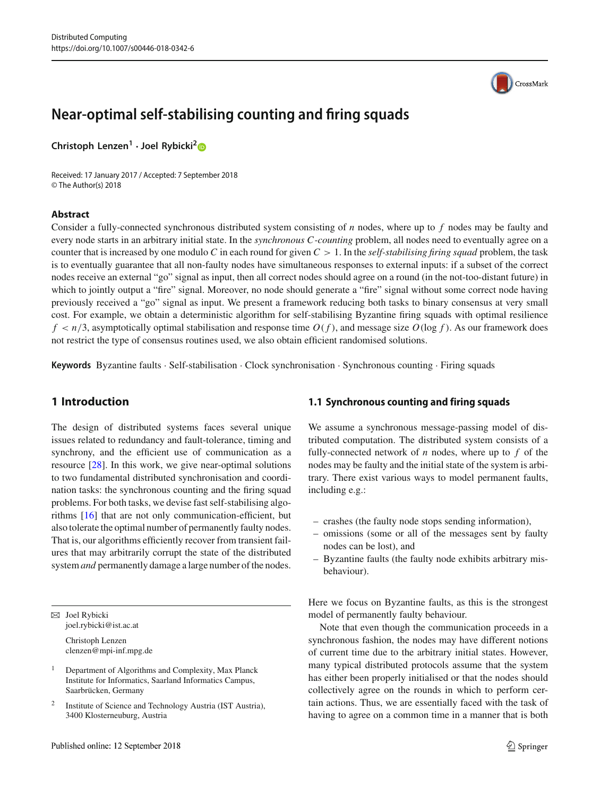

# **Near-optimal self-stabilising counting and firing squads**

**Christoph Lenzen<sup>1</sup> · Joel Rybicki[2](http://orcid.org/0000-0002-6432-6646)**

Received: 17 January 2017 / Accepted: 7 September 2018 © The Author(s) 2018

### **Abstract**

Consider a fully-connected synchronous distributed system consisting of *n* nodes, where up to *f* nodes may be faulty and every node starts in an arbitrary initial state. In the *synchronous C-counting* problem, all nodes need to eventually agree on a counter that is increased by one modulo *C* in each round for given *C* > 1. In the *self-stabilising firing squad* problem, the task is to eventually guarantee that all non-faulty nodes have simultaneous responses to external inputs: if a subset of the correct nodes receive an external "go" signal as input, then all correct nodes should agree on a round (in the not-too-distant future) in which to jointly output a "fire" signal. Moreover, no node should generate a "fire" signal without some correct node having previously received a "go" signal as input. We present a framework reducing both tasks to binary consensus at very small cost. For example, we obtain a deterministic algorithm for self-stabilising Byzantine firing squads with optimal resilience  $f < n/3$ , asymptotically optimal stabilisation and response time  $O(f)$ , and message size  $O(\log f)$ . As our framework does not restrict the type of consensus routines used, we also obtain efficient randomised solutions.

**Keywords** Byzantine faults · Self-stabilisation · Clock synchronisation · Synchronous counting · Firing squads

## **1 Introduction**

The design of distributed systems faces several unique issues related to redundancy and fault-tolerance, timing and synchrony, and the efficient use of communication as a resource [\[28](#page-21-0)]. In this work, we give near-optimal solutions to two fundamental distributed synchronisation and coordination tasks: the synchronous counting and the firing squad problems. For both tasks, we devise fast self-stabilising algorithms [\[16](#page-21-1)] that are not only communication-efficient, but also tolerate the optimal number of permanently faulty nodes. That is, our algorithms efficiently recover from transient failures that may arbitrarily corrupt the state of the distributed system*and* permanently damage a large number of the nodes.

 $\boxtimes$  Joel Rybicki joel.rybicki@ist.ac.at

> Christoph Lenzen clenzen@mpi-inf.mpg.de

## **1.1 Synchronous counting and firing squads**

We assume a synchronous message-passing model of distributed computation. The distributed system consists of a fully-connected network of *n* nodes, where up to *f* of the nodes may be faulty and the initial state of the system is arbitrary. There exist various ways to model permanent faults, including e.g.:

- crashes (the faulty node stops sending information),
- omissions (some or all of the messages sent by faulty nodes can be lost), and
- Byzantine faults (the faulty node exhibits arbitrary misbehaviour).

Here we focus on Byzantine faults, as this is the strongest model of permanently faulty behaviour.

Note that even though the communication proceeds in a synchronous fashion, the nodes may have different notions of current time due to the arbitrary initial states. However, many typical distributed protocols assume that the system has either been properly initialised or that the nodes should collectively agree on the rounds in which to perform certain actions. Thus, we are essentially faced with the task of having to agree on a common time in a manner that is both

<sup>1</sup> Department of Algorithms and Complexity, Max Planck Institute for Informatics, Saarland Informatics Campus, Saarbrücken, Germany

<sup>&</sup>lt;sup>2</sup> Institute of Science and Technology Austria (IST Austria), 3400 Klosterneuburg, Austria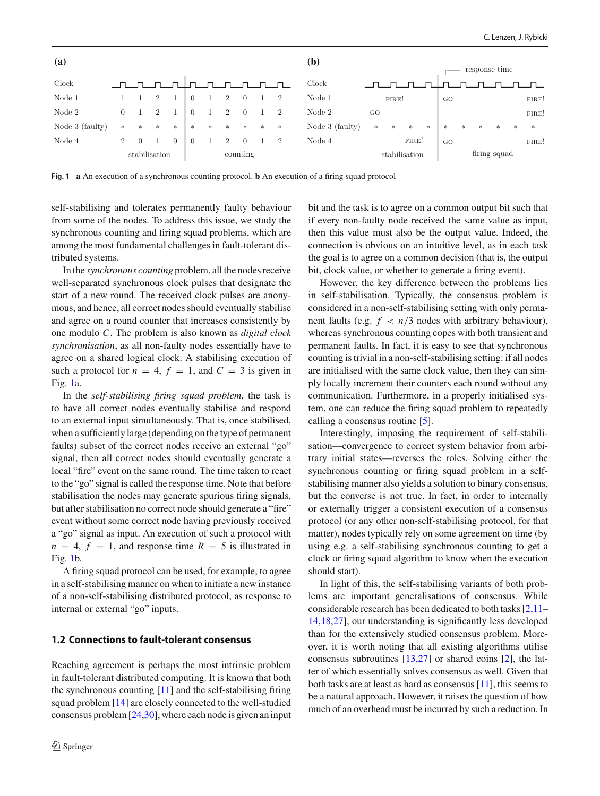

<span id="page-1-0"></span>**Fig. 1 a** An execution of a synchronous counting protocol. **b** An execution of a firing squad protocol

self-stabilising and tolerates permanently faulty behaviour from some of the nodes. To address this issue, we study the synchronous counting and firing squad problems, which are among the most fundamental challenges in fault-tolerant distributed systems.

In the *synchronous counting* problem, all the nodes receive well-separated synchronous clock pulses that designate the start of a new round. The received clock pulses are anonymous, and hence, all correct nodes should eventually stabilise and agree on a round counter that increases consistently by one modulo *C*. The problem is also known as *digital clock synchronisation*, as all non-faulty nodes essentially have to agree on a shared logical clock. A stabilising execution of such a protocol for  $n = 4$ ,  $f = 1$ , and  $C = 3$  is given in Fig. [1a](#page-1-0).

In the *self-stabilising firing squad problem*, the task is to have all correct nodes eventually stabilise and respond to an external input simultaneously. That is, once stabilised, when a sufficiently large (depending on the type of permanent faults) subset of the correct nodes receive an external "go" signal, then all correct nodes should eventually generate a local "fire" event on the same round. The time taken to react to the "go" signal is called the response time. Note that before stabilisation the nodes may generate spurious firing signals, but after stabilisation no correct node should generate a "fire" event without some correct node having previously received a "go" signal as input. An execution of such a protocol with  $n = 4$ ,  $f = 1$ , and response time  $R = 5$  is illustrated in Fig. [1b](#page-1-0).

A firing squad protocol can be used, for example, to agree in a self-stabilising manner on when to initiate a new instance of a non-self-stabilising distributed protocol, as response to internal or external "go" inputs.

## **1.2 Connections to fault-tolerant consensus**

Reaching agreement is perhaps the most intrinsic problem in fault-tolerant distributed computing. It is known that both the synchronous counting [\[11](#page-21-2)] and the self-stabilising firing squad problem [\[14\]](#page-21-3) are closely connected to the well-studied consensus problem  $[24,30]$  $[24,30]$  $[24,30]$ , where each node is given an input

bit and the task is to agree on a common output bit such that if every non-faulty node received the same value as input, then this value must also be the output value. Indeed, the connection is obvious on an intuitive level, as in each task the goal is to agree on a common decision (that is, the output bit, clock value, or whether to generate a firing event).

However, the key difference between the problems lies in self-stabilisation. Typically, the consensus problem is considered in a non-self-stabilising setting with only permanent faults (e.g.  $f \leq n/3$  nodes with arbitrary behaviour), whereas synchronous counting copes with both transient and permanent faults. In fact, it is easy to see that synchronous counting is trivial in a non-self-stabilising setting: if all nodes are initialised with the same clock value, then they can simply locally increment their counters each round without any communication. Furthermore, in a properly initialised system, one can reduce the firing squad problem to repeatedly calling a consensus routine [\[5\]](#page-21-6).

Interestingly, imposing the requirement of self-stabilisation—convergence to correct system behavior from arbitrary initial states—reverses the roles. Solving either the synchronous counting or firing squad problem in a selfstabilising manner also yields a solution to binary consensus, but the converse is not true. In fact, in order to internally or externally trigger a consistent execution of a consensus protocol (or any other non-self-stabilising protocol, for that matter), nodes typically rely on some agreement on time (by using e.g. a self-stabilising synchronous counting to get a clock or firing squad algorithm to know when the execution should start).

In light of this, the self-stabilising variants of both problems are important generalisations of consensus. While considerable research has been dedicated to both tasks [\[2](#page-20-0)[,11](#page-21-2)– [14](#page-21-3)[,18](#page-21-7)[,27](#page-21-8)], our understanding is significantly less developed than for the extensively studied consensus problem. Moreover, it is worth noting that all existing algorithms utilise consensus subroutines [\[13](#page-21-9)[,27](#page-21-8)] or shared coins [\[2](#page-20-0)], the latter of which essentially solves consensus as well. Given that both tasks are at least as hard as consensus [\[11](#page-21-2)], this seems to be a natural approach. However, it raises the question of how much of an overhead must be incurred by such a reduction. In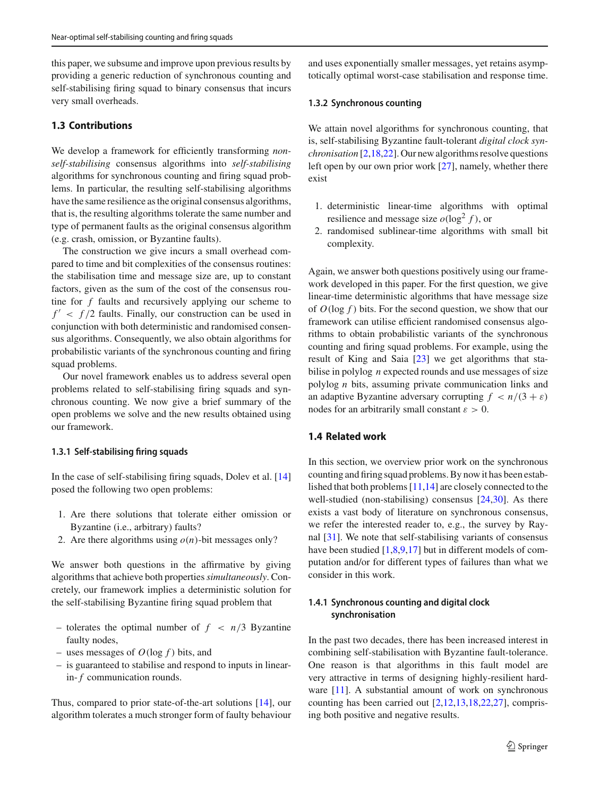this paper, we subsume and improve upon previous results by providing a generic reduction of synchronous counting and self-stabilising firing squad to binary consensus that incurs very small overheads.

## **1.3 Contributions**

We develop a framework for efficiently transforming *nonself-stabilising* consensus algorithms into *self-stabilising* algorithms for synchronous counting and firing squad problems. In particular, the resulting self-stabilising algorithms have the same resilience as the original consensus algorithms, that is, the resulting algorithms tolerate the same number and type of permanent faults as the original consensus algorithm (e.g. crash, omission, or Byzantine faults).

The construction we give incurs a small overhead compared to time and bit complexities of the consensus routines: the stabilisation time and message size are, up to constant factors, given as the sum of the cost of the consensus routine for *f* faults and recursively applying our scheme to  $f' < f/2$  faults. Finally, our construction can be used in conjunction with both deterministic and randomised consensus algorithms. Consequently, we also obtain algorithms for probabilistic variants of the synchronous counting and firing squad problems.

Our novel framework enables us to address several open problems related to self-stabilising firing squads and synchronous counting. We now give a brief summary of the open problems we solve and the new results obtained using our framework.

#### **1.3.1 Self-stabilising firing squads**

In the case of self-stabilising firing squads, Dolev et al. [\[14\]](#page-21-3) posed the following two open problems:

- 1. Are there solutions that tolerate either omission or Byzantine (i.e., arbitrary) faults?
- 2. Are there algorithms using  $o(n)$ -bit messages only?

We answer both questions in the affirmative by giving algorithms that achieve both properties*simultaneously*. Concretely, our framework implies a deterministic solution for the self-stabilising Byzantine firing squad problem that

- tolerates the optimal number of  $f \leq n/3$  Byzantine faulty nodes,
- uses messages of *O*(log *f* ) bits, and
- is guaranteed to stabilise and respond to inputs in linearin- *f* communication rounds.

Thus, compared to prior state-of-the-art solutions [\[14\]](#page-21-3), our algorithm tolerates a much stronger form of faulty behaviour

and uses exponentially smaller messages, yet retains asymptotically optimal worst-case stabilisation and response time.

#### **1.3.2 Synchronous counting**

We attain novel algorithms for synchronous counting, that is, self-stabilising Byzantine fault-tolerant *digital clock synchronisation* [\[2](#page-20-0)[,18](#page-21-7)[,22\]](#page-21-10). Our new algorithms resolve questions left open by our own prior work [\[27](#page-21-8)], namely, whether there exist

- 1. deterministic linear-time algorithms with optimal resilience and message size  $o(\log^2 f)$ , or
- 2. randomised sublinear-time algorithms with small bit complexity.

Again, we answer both questions positively using our framework developed in this paper. For the first question, we give linear-time deterministic algorithms that have message size of *O*(log *f* ) bits. For the second question, we show that our framework can utilise efficient randomised consensus algorithms to obtain probabilistic variants of the synchronous counting and firing squad problems. For example, using the result of King and Saia [\[23](#page-21-11)] we get algorithms that stabilise in polylog *n* expected rounds and use messages of size polylog *n* bits, assuming private communication links and an adaptive Byzantine adversary corrupting  $f < n/(3 + \varepsilon)$ nodes for an arbitrarily small constant  $\varepsilon > 0$ .

## **1.4 Related work**

In this section, we overview prior work on the synchronous counting and firing squad problems. By now it has been established that both problems [\[11](#page-21-2)[,14](#page-21-3)] are closely connected to the well-studied (non-stabilising) consensus [\[24](#page-21-4)[,30](#page-21-5)]. As there exists a vast body of literature on synchronous consensus, we refer the interested reader to, e.g., the survey by Raynal [\[31](#page-21-12)]. We note that self-stabilising variants of consensus have been studied  $[1,8,9,17]$  $[1,8,9,17]$  $[1,8,9,17]$  $[1,8,9,17]$  but in different models of computation and/or for different types of failures than what we consider in this work.

## **1.4.1 Synchronous counting and digital clock synchronisation**

In the past two decades, there has been increased interest in combining self-stabilisation with Byzantine fault-tolerance. One reason is that algorithms in this fault model are very attractive in terms of designing highly-resilient hard-ware [\[11\]](#page-21-2). A substantial amount of work on synchronous counting has been carried out [\[2](#page-20-0)[,12](#page-21-16)[,13](#page-21-9)[,18](#page-21-7)[,22](#page-21-10)[,27\]](#page-21-8), comprising both positive and negative results.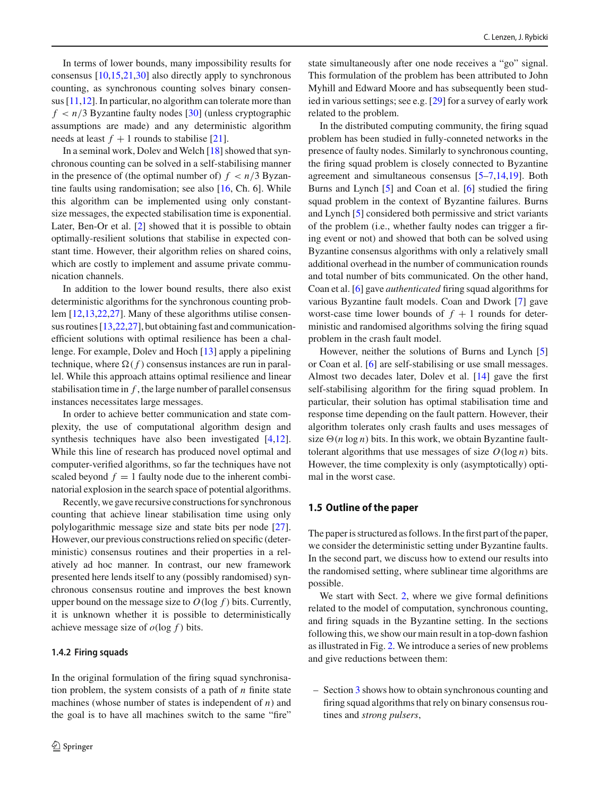In terms of lower bounds, many impossibility results for consensus [\[10](#page-21-17)[,15](#page-21-18)[,21](#page-21-19)[,30\]](#page-21-5) also directly apply to synchronous counting, as synchronous counting solves binary consensus [\[11](#page-21-2)[,12](#page-21-16)]. In particular, no algorithm can tolerate more than  $f < n/3$  Byzantine faulty nodes [\[30](#page-21-5)] (unless cryptographic assumptions are made) and any deterministic algorithm needs at least  $f + 1$  rounds to stabilise [\[21\]](#page-21-19).

In a seminal work, Dolev and Welch [\[18](#page-21-7)] showed that synchronous counting can be solved in a self-stabilising manner in the presence of (the optimal number of)  $f < n/3$  Byzantine faults using randomisation; see also [\[16,](#page-21-1) Ch. 6]. While this algorithm can be implemented using only constantsize messages, the expected stabilisation time is exponential. Later, Ben-Or et al. [\[2\]](#page-20-0) showed that it is possible to obtain optimally-resilient solutions that stabilise in expected constant time. However, their algorithm relies on shared coins, which are costly to implement and assume private communication channels.

In addition to the lower bound results, there also exist deterministic algorithms for the synchronous counting problem [\[12](#page-21-16)[,13](#page-21-9)[,22](#page-21-10)[,27](#page-21-8)]. Many of these algorithms utilise consensus routines [\[13](#page-21-9)[,22](#page-21-10)[,27\]](#page-21-8), but obtaining fast and communicationefficient solutions with optimal resilience has been a challenge. For example, Dolev and Hoch [\[13\]](#page-21-9) apply a pipelining technique, where  $\Omega(f)$  consensus instances are run in parallel. While this approach attains optimal resilience and linear stabilisation time in *f* , the large number of parallel consensus instances necessitates large messages.

In order to achieve better communication and state complexity, the use of computational algorithm design and synthesis techniques have also been investigated [\[4](#page-20-2)[,12](#page-21-16)]. While this line of research has produced novel optimal and computer-verified algorithms, so far the techniques have not scaled beyond  $f = 1$  faulty node due to the inherent combinatorial explosion in the search space of potential algorithms.

Recently, we gave recursive constructions for synchronous counting that achieve linear stabilisation time using only polylogarithmic message size and state bits per node [\[27](#page-21-8)]. However, our previous constructions relied on specific (deterministic) consensus routines and their properties in a relatively ad hoc manner. In contrast, our new framework presented here lends itself to any (possibly randomised) synchronous consensus routine and improves the best known upper bound on the message size to  $O(\log f)$  bits. Currently, it is unknown whether it is possible to deterministically achieve message size of  $o(\log f)$  bits.

#### **1.4.2 Firing squads**

In the original formulation of the firing squad synchronisation problem, the system consists of a path of *n* finite state machines (whose number of states is independent of *n*) and the goal is to have all machines switch to the same "fire" state simultaneously after one node receives a "go" signal. This formulation of the problem has been attributed to John Myhill and Edward Moore and has subsequently been studied in various settings; see e.g. [\[29](#page-21-20)] for a survey of early work related to the problem.

In the distributed computing community, the firing squad problem has been studied in fully-conneted networks in the presence of faulty nodes. Similarly to synchronous counting, the firing squad problem is closely connected to Byzantine agreement and simultaneous consensus [\[5](#page-21-6)[–7](#page-21-21)[,14](#page-21-3)[,19\]](#page-21-22). Both Burns and Lynch [\[5\]](#page-21-6) and Coan et al. [\[6](#page-21-23)] studied the firing squad problem in the context of Byzantine failures. Burns and Lynch [\[5](#page-21-6)] considered both permissive and strict variants of the problem (i.e., whether faulty nodes can trigger a firing event or not) and showed that both can be solved using Byzantine consensus algorithms with only a relatively small additional overhead in the number of communication rounds and total number of bits communicated. On the other hand, Coan et al. [\[6\]](#page-21-23) gave *authenticated* firing squad algorithms for various Byzantine fault models. Coan and Dwork [\[7](#page-21-21)] gave worst-case time lower bounds of  $f + 1$  rounds for deterministic and randomised algorithms solving the firing squad problem in the crash fault model.

However, neither the solutions of Burns and Lynch [\[5\]](#page-21-6) or Coan et al. [\[6](#page-21-23)] are self-stabilising or use small messages. Almost two decades later, Dolev et al. [\[14](#page-21-3)] gave the first self-stabilising algorithm for the firing squad problem. In particular, their solution has optimal stabilisation time and response time depending on the fault pattern. However, their algorithm tolerates only crash faults and uses messages of size  $\Theta(n \log n)$  bits. In this work, we obtain Byzantine faulttolerant algorithms that use messages of size  $O(\log n)$  bits. However, the time complexity is only (asymptotically) optimal in the worst case.

#### **1.5 Outline of the paper**

The paper is structured as follows. In the first part of the paper, we consider the deterministic setting under Byzantine faults. In the second part, we discuss how to extend our results into the randomised setting, where sublinear time algorithms are possible.

We start with Sect. [2,](#page-4-0) where we give formal definitions related to the model of computation, synchronous counting, and firing squads in the Byzantine setting. In the sections following this, we show our main result in a top-down fashion as illustrated in Fig. [2.](#page-4-1) We introduce a series of new problems and give reductions between them:

– Section [3](#page-6-0) shows how to obtain synchronous counting and firing squad algorithms that rely on binary consensus routines and *strong pulsers*,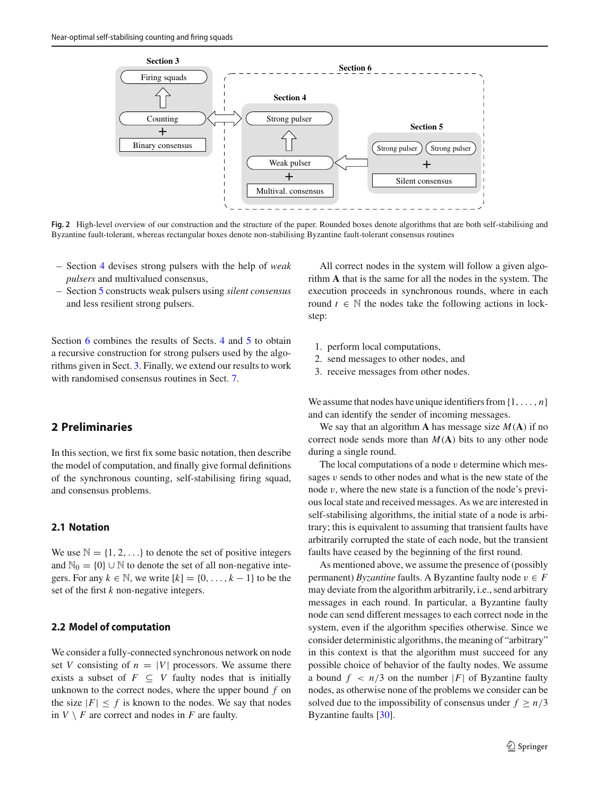

<span id="page-4-1"></span>**Fig. 2** High-level overview of our construction and the structure of the paper. Rounded boxes denote algorithms that are both self-stabilising and Byzantine fault-tolerant, whereas rectangular boxes denote non-stabilising Byzantine fault-tolerant consensus routines

- Section [4](#page-8-0) devises strong pulsers with the help of *weak pulsers* and multivalued consensus,
- Section [5](#page-10-0) constructs weak pulsers using *silent consensus* and less resilient strong pulsers.

Section [6](#page-15-0) combines the results of Sects. [4](#page-8-0) and [5](#page-10-0) to obtain a recursive construction for strong pulsers used by the algorithms given in Sect. [3.](#page-6-0) Finally, we extend our results to work with randomised consensus routines in Sect. [7.](#page-16-0)

## <span id="page-4-0"></span>**2 Preliminaries**

In this section, we first fix some basic notation, then describe the model of computation, and finally give formal definitions of the synchronous counting, self-stabilising firing squad, and consensus problems.

## **2.1 Notation**

We use  $\mathbb{N} = \{1, 2, \ldots\}$  to denote the set of positive integers and  $\mathbb{N}_0 = \{0\} \cup \mathbb{N}$  to denote the set of all non-negative integers. For any  $k \in \mathbb{N}$ , we write  $[k] = \{0, \ldots, k - 1\}$  to be the set of the first *k* non-negative integers.

## **2.2 Model of computation**

We consider a fully-connected synchronous network on node set *V* consisting of  $n = |V|$  processors. We assume there exists a subset of  $F \subseteq V$  faulty nodes that is initially unknown to the correct nodes, where the upper bound *f* on the size  $|F| \leq f$  is known to the nodes. We say that nodes in  $V \setminus F$  are correct and nodes in  $F$  are faulty.

All correct nodes in the system will follow a given algorithm **A** that is the same for all the nodes in the system. The execution proceeds in synchronous rounds, where in each round  $t \in \mathbb{N}$  the nodes take the following actions in lockstep:

- 1. perform local computations,
- 2. send messages to other nodes, and
- 3. receive messages from other nodes.

We assume that nodes have unique identifiers from  $\{1, \ldots, n\}$ and can identify the sender of incoming messages.

We say that an algorithm **A** has message size  $M(A)$  if no correct node sends more than  $M(A)$  bits to any other node during a single round.

The local computations of a node  $\nu$  determine which messages v sends to other nodes and what is the new state of the node  $v$ , where the new state is a function of the node's previous local state and received messages. As we are interested in self-stabilising algorithms, the initial state of a node is arbitrary; this is equivalent to assuming that transient faults have arbitrarily corrupted the state of each node, but the transient faults have ceased by the beginning of the first round.

As mentioned above, we assume the presence of (possibly permanent) *Byzantine* faults. A Byzantine faulty node  $v \in F$ may deviate from the algorithm arbitrarily, i.e., send arbitrary messages in each round. In particular, a Byzantine faulty node can send different messages to each correct node in the system, even if the algorithm specifies otherwise. Since we consider deterministic algorithms, the meaning of "arbitrary" in this context is that the algorithm must succeed for any possible choice of behavior of the faulty nodes. We assume a bound  $f \leq n/3$  on the number  $|F|$  of Byzantine faulty nodes, as otherwise none of the problems we consider can be solved due to the impossibility of consensus under  $f \geq n/3$ Byzantine faults [\[30\]](#page-21-5).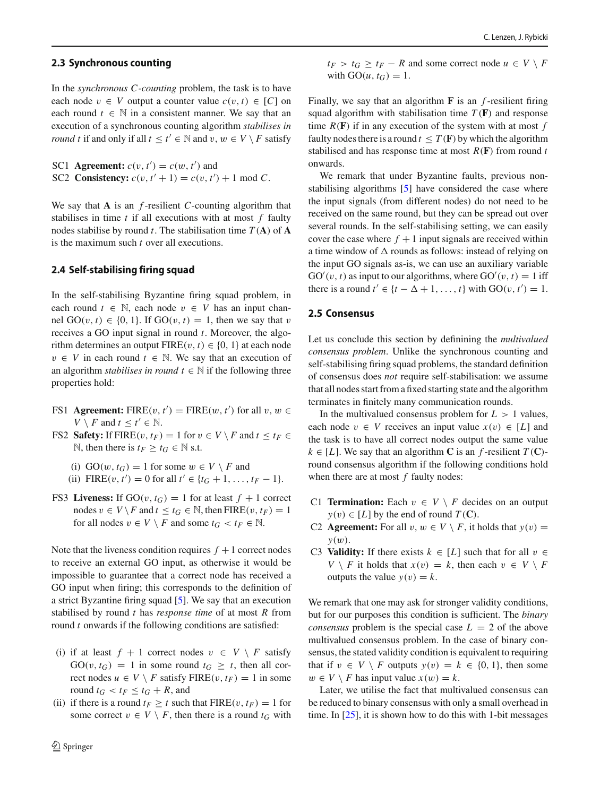#### **2.3 Synchronous counting**

In the *synchronous C-counting* problem, the task is to have each node  $v \in V$  output a counter value  $c(v, t) \in [C]$  on each round  $t \in \mathbb{N}$  in a consistent manner. We say that an execution of a synchronous counting algorithm *stabilises in round t* if and only if all  $t \le t' \in \mathbb{N}$  and  $v, w \in V \setminus F$  satisfy

SC1 **Agreement:**  $c(v, t') = c(w, t')$  and SC2 **Consistency:**  $c(v, t' + 1) = c(v, t') + 1 \text{ mod } C$ .

We say that **A** is an *f* -resilient *C*-counting algorithm that stabilises in time *t* if all executions with at most *f* faulty nodes stabilise by round *t*. The stabilisation time  $T(A)$  of **A** is the maximum such *t* over all executions.

#### <span id="page-5-0"></span>**2.4 Self-stabilising firing squad**

In the self-stabilising Byzantine firing squad problem, in each round  $t \in \mathbb{N}$ , each node  $v \in V$  has an input channel  $GO(v, t) \in \{0, 1\}$ . If  $GO(v, t) = 1$ , then we say that v receives a GO input signal in round *t*. Moreover, the algorithm determines an output FIRE $(v, t) \in \{0, 1\}$  at each node  $v \in V$  in each round  $t \in \mathbb{N}$ . We say that an execution of an algorithm *stabilises in round*  $t \in \mathbb{N}$  if the following three properties hold:

- FS1 **Agreement:** FIRE $(v, t')$  = FIRE $(w, t')$  for all  $v, w \in$ *V* \ *F* and  $t \leq t' \in \mathbb{N}$ .
- FS2 **Safety:** If FIRE(*v*,  $t_F$ ) = 1 for  $v \in V \setminus F$  and  $t \le t_F \in$ N, then there is *t<sub>F</sub>* ≥ *t<sub>G</sub>* ∈ N s.t.
	- (i) GO(*w*,  $t_G$ ) = 1 for some  $w \in V \setminus F$  and
	- (ii) FIRE(*v*, *t'*) = 0 for all  $t' \in \{t_G + 1, ..., t_F 1\}.$
- FS3 **Liveness:** If GO( $v$ ,  $t_G$ ) = 1 for at least  $f + 1$  correct nodes  $v \in V \backslash F$  and  $t \le t_G \in \mathbb{N}$ , then  $\text{FIRE}(v, t_F) = 1$ for all nodes  $v \in V \setminus F$  and some  $t_G < t_F \in \mathbb{N}$ .

Note that the liveness condition requires  $f + 1$  correct nodes to receive an external GO input, as otherwise it would be impossible to guarantee that a correct node has received a GO input when firing; this corresponds to the definition of a strict Byzantine firing squad [\[5\]](#page-21-6). We say that an execution stabilised by round *t* has *response time* of at most *R* from round *t* onwards if the following conditions are satisfied:

- (i) if at least  $f + 1$  correct nodes  $v \in V \setminus F$  satisfy  $GO(v, t_G) = 1$  in some round  $t_G \geq t$ , then all correct nodes  $u \in V \setminus F$  satisfy  $\text{FIRE}(v, t_F) = 1$  in some round  $t_G < t_F \leq t_G + R$ , and
- (ii) if there is a round  $t_F \geq t$  such that  $\text{FIRE}(v, t_F) = 1$  for some correct  $v \in V \setminus F$ , then there is a round  $t_G$  with

 $t_F > t_G \ge t_F - R$  and some correct node  $u \in V \setminus F$ with  $GO(u, t_G) = 1$ .

Finally, we say that an algorithm **F** is an *f* -resilient firing squad algorithm with stabilisation time  $T(\mathbf{F})$  and response time  $R(\mathbf{F})$  if in any execution of the system with at most  $f$ faulty nodes there is a round  $t < T(F)$  by which the algorithm stabilised and has response time at most *R*(**F**) from round *t* onwards.

We remark that under Byzantine faults, previous nonstabilising algorithms [\[5\]](#page-21-6) have considered the case where the input signals (from different nodes) do not need to be received on the same round, but they can be spread out over several rounds. In the self-stabilising setting, we can easily cover the case where  $f + 1$  input signals are received within a time window of  $\Delta$  rounds as follows: instead of relying on the input GO signals as-is, we can use an auxiliary variable GO'(*v*, *t*) as input to our algorithms, where GO'(*v*, *t*) = 1 iff there is a round  $t' \in \{t - \Delta + 1, ..., t\}$  with  $GO(v, t') = 1$ .

## **2.5 Consensus**

Let us conclude this section by definining the *multivalued consensus problem*. Unlike the synchronous counting and self-stabilising firing squad problems, the standard definition of consensus does *not* require self-stabilisation: we assume that all nodes start from a fixed starting state and the algorithm terminates in finitely many communication rounds.

In the multivalued consensus problem for  $L > 1$  values, each node  $v \in V$  receives an input value  $x(v) \in [L]$  and the task is to have all correct nodes output the same value  $k \in [L]$ . We say that an algorithm **C** is an *f*-resilient  $T(\mathbf{C})$ round consensus algorithm if the following conditions hold when there are at most *f* faulty nodes:

- C1 **Termination:** Each  $v \in V \setminus F$  decides on an output  $y(v) \in [L]$  by the end of round  $T(\mathbb{C})$ .
- C2 **Agreement:** For all  $v, w \in V \setminus F$ , it holds that  $y(v) =$ *y*(w).
- C3 **Validity:** If there exists  $k \in [L]$  such that for all  $v \in$ *V* \ *F* it holds that  $x(v) = k$ , then each  $v \in V \setminus F$ outputs the value  $y(v) = k$ .

We remark that one may ask for stronger validity conditions, but for our purposes this condition is sufficient. The *binary consensus* problem is the special case  $L = 2$  of the above multivalued consensus problem. In the case of binary consensus, the stated validity condition is equivalent to requiring that if  $v \in V \setminus F$  outputs  $y(v) = k \in \{0, 1\}$ , then some  $w \in V \setminus F$  has input value  $x(w) = k$ .

Later, we utilise the fact that multivalued consensus can be reduced to binary consensus with only a small overhead in time. In  $[25]$ , it is shown how to do this with 1-bit messages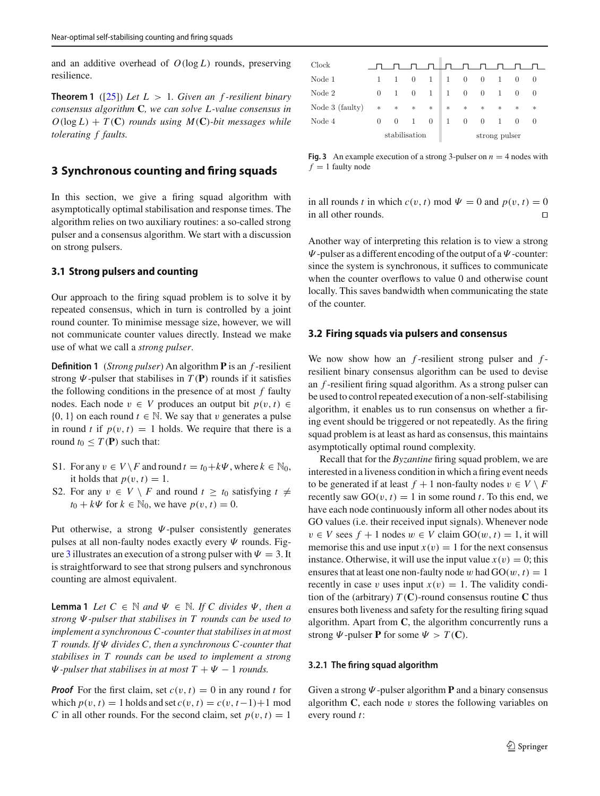<span id="page-6-3"></span>and an additive overhead of *O*(log *L*) rounds, preserving resilience.

**Theorem 1** ( $[25]$  $[25]$ ) *Let L* > 1*. Given an f-resilient binary consensus algorithm* **C***, we can solve L-value consensus in*  $O(\log L) + T(\mathbb{C})$  *rounds using M(C)-bit messages while tolerating f faults.*

## <span id="page-6-0"></span>**3 Synchronous counting and firing squads**

In this section, we give a firing squad algorithm with asymptotically optimal stabilisation and response times. The algorithm relies on two auxiliary routines: a so-called strong pulser and a consensus algorithm. We start with a discussion on strong pulsers.

## **3.1 Strong pulsers and counting**

Our approach to the firing squad problem is to solve it by repeated consensus, which in turn is controlled by a joint round counter. To minimise message size, however, we will not communicate counter values directly. Instead we make use of what we call a *strong pulser*.

**Definition 1** (*Strong pulser*) An algorithm **P** is an *f* -resilient strong  $\Psi$ -pulser that stabilises in  $T(\mathbf{P})$  rounds if it satisfies the following conditions in the presence of at most *f* faulty nodes. Each node  $v \in V$  produces an output bit  $p(v, t)$  ∈  ${0, 1}$  on each round  $t \in \mathbb{N}$ . We say that v generates a pulse in round *t* if  $p(v, t) = 1$  holds. We require that there is a round  $t_0 \leq T(\mathbf{P})$  such that:

- S1. For any  $v \in V \backslash F$  and round  $t = t_0 + k \Psi$ , where  $k \in \mathbb{N}_0$ , it holds that  $p(v, t) = 1$ .
- S2. For any  $v \in V \setminus F$  and round  $t \geq t_0$  satisfying  $t \neq$  $t_0 + k\Psi$  for  $k \in \mathbb{N}_0$ , we have  $p(v, t) = 0$ .

Put otherwise, a strong  $\Psi$ -pulser consistently generates pulses at all non-faulty nodes exactly every  $\Psi$  rounds. Fig-ure [3](#page-6-1) illustrates an execution of a strong pulser with  $\Psi = 3$ . It is straightforward to see that strong pulsers and synchronous counting are almost equivalent.

<span id="page-6-2"></span>**Lemma 1** *Let*  $C \in \mathbb{N}$  *and*  $\Psi \in \mathbb{N}$ *. If*  $C$  *divides*  $\Psi$ *, then a strong* Ψ*-pulser that stabilises in T rounds can be used to implement a synchronous C-counter that stabilises in at most T rounds. If* Ψ *divides C, then a synchronous C-counter that stabilises in T rounds can be used to implement a strong*  $\Psi$ -pulser that stabilises in at most  $T + \Psi - 1$  *rounds.* 

*Proof* For the first claim, set  $c(v, t) = 0$  in any round *t* for which  $p(v, t) = 1$  holds and set  $c(v, t) = c(v, t-1)+1$  mod *C* in all other rounds. For the second claim, set  $p(v, t) = 1$ 

| Clock           |               |              |          |          |               |                |                    |              |                |          |  |
|-----------------|---------------|--------------|----------|----------|---------------|----------------|--------------------|--------------|----------------|----------|--|
| Node 1          | $\mathbf{1}$  | $\mathbf{1}$ | $\theta$ | -1       | $\mathbf{1}$  | $\overline{0}$ | $\theta$           | -1           | $\overline{0}$ | $\theta$ |  |
| Node 2          | $\theta$      | $\mathbf{1}$ | $\theta$ | -1       | $\mathbf{1}$  | $\overline{0}$ | $\overline{0}$     | $\mathbf{1}$ | $\overline{0}$ | $\theta$ |  |
| Node 3 (faulty) | $*$           | $*$          | $\ast$   | $\ast$   | $*$           | $*$            | $*$                | $\ast$       | $\ast$         | $\ast$   |  |
| Node 4          | $\Omega$      | $\theta$     | -1       | $\theta$ | 1             | $\theta$       | $\left( 0 \right)$ | 1            | $\theta$       | $\theta$ |  |
|                 | stabilisation |              |          |          | strong pulser |                |                    |              |                |          |  |

<span id="page-6-1"></span>**Fig. 3** An example execution of a strong 3-pulser on  $n = 4$  nodes with  $f = 1$  faulty node

in all rounds *t* in which  $c(v, t) \text{ mod } \Psi = 0$  and  $p(v, t) = 0$ <br>in all other rounds in all other rounds. 

Another way of interpreting this relation is to view a strong  $\Psi$ -pulser as a different encoding of the output of a  $\Psi$ -counter: since the system is synchronous, it suffices to communicate when the counter overflows to value 0 and otherwise count locally. This saves bandwidth when communicating the state of the counter.

### **3.2 Firing squads via pulsers and consensus**

We now show how an *f* -resilient strong pulser and *f* resilient binary consensus algorithm can be used to devise an *f* -resilient firing squad algorithm. As a strong pulser can be used to control repeated execution of a non-self-stabilising algorithm, it enables us to run consensus on whether a firing event should be triggered or not repeatedly. As the firing squad problem is at least as hard as consensus, this maintains asymptotically optimal round complexity.

Recall that for the *Byzantine* firing squad problem, we are interested in a liveness condition in which a firing event needs to be generated if at least  $f + 1$  non-faulty nodes  $v \in V \setminus F$ recently saw  $GO(v, t) = 1$  in some round *t*. To this end, we have each node continuously inform all other nodes about its GO values (i.e. their received input signals). Whenever node  $v \in V$  sees  $f + 1$  nodes  $w \in V$  claim  $GO(w, t) = 1$ , it will memorise this and use input  $x(v) = 1$  for the next consensus instance. Otherwise, it will use the input value  $x(v) = 0$ ; this ensures that at least one non-faulty node w had  $GO(w, t) = 1$ recently in case v uses input  $x(v) = 1$ . The validity condition of the (arbitrary)  $T(C)$ -round consensus routine C thus ensures both liveness and safety for the resulting firing squad algorithm. Apart from **C**, the algorithm concurrently runs a strong  $\Psi$ -pulser **P** for some  $\Psi > T(\mathbf{C})$ .

#### **3.2.1 The firing squad algorithm**

Given a strong Ψ-pulser algorithm **P** and a binary consensus algorithm  $C$ , each node  $v$  stores the following variables on every round *t*: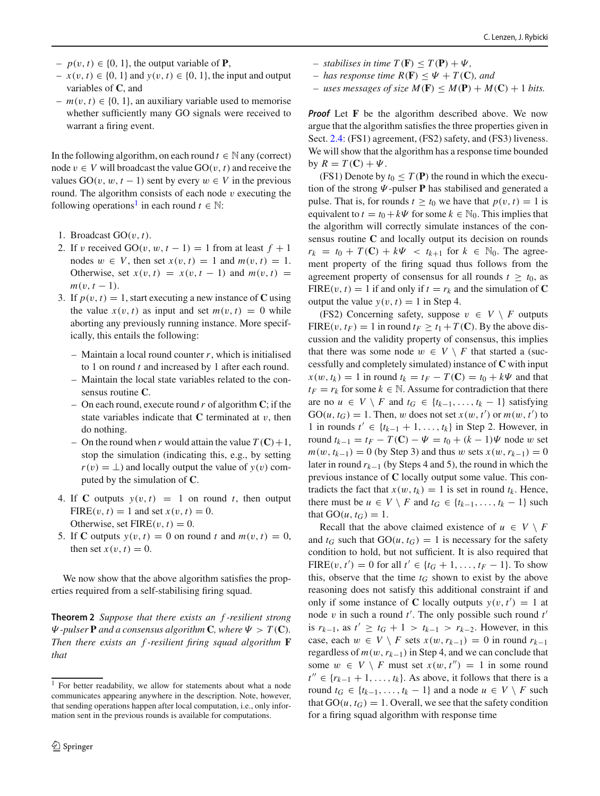- *p*(v, *t*) ∈ {0, 1}, the output variable of **P**,
- *x*(v, *t*) ∈ {0, 1} and *y*(v, *t*) ∈ {0, 1}, the input and output variables of **C**, and
- $-m(v, t) \in \{0, 1\}$ , an auxiliary variable used to memorise whether sufficiently many GO signals were received to warrant a firing event.

In the following algorithm, on each round  $t \in \mathbb{N}$  any (correct) node  $v \in V$  will broadcast the value  $GO(v, t)$  and receive the values  $GO(v, w, t-1)$  sent by every  $w \in V$  in the previous round. The algorithm consists of each node  $\nu$  executing the following operations<sup>[1](#page-7-0)</sup> in each round  $t \in \mathbb{N}$ :

- 1. Broadcast  $GO(v, t)$ .
- 2. If v received  $GO(v, w, t 1) = 1$  from at least  $f + 1$ nodes  $w \in V$ , then set  $x(v, t) = 1$  and  $m(v, t) = 1$ . Otherwise, set  $x(v, t) = x(v, t - 1)$  and  $m(v, t) =$  $m(v, t - 1)$ .
- 3. If  $p(v, t) = 1$ , start executing a new instance of **C** using the value  $x(v, t)$  as input and set  $m(v, t) = 0$  while aborting any previously running instance. More specifically, this entails the following:
	- Maintain a local round counter *r*, which is initialised to 1 on round *t* and increased by 1 after each round.
	- Maintain the local state variables related to the consensus routine **C**.
	- On each round, execute round *r* of algorithm **C**; if the state variables indicate that  $C$  terminated at  $v$ , then do nothing.
	- On the round when r would attain the value  $T(C)+1$ , stop the simulation (indicating this, e.g., by setting  $r(v) = \perp$ ) and locally output the value of *y(v)* computed by the simulation of **C**.
- 4. If **C** outputs  $y(v, t) = 1$  on round *t*, then output FIRE(*v*, *t*) = 1 and set  $x(v, t) = 0$ . Otherwise, set  $FIRE(v, t) = 0$ .
- 5. If **C** outputs  $y(v, t) = 0$  on round *t* and  $m(v, t) = 0$ , then set  $x(v, t) = 0$ .

<span id="page-7-1"></span>We now show that the above algorithm satisfies the properties required from a self-stabilising firing squad.

**Theorem 2** *Suppose that there exists an f -resilient strong*  $\Psi$ -pulser **P** and a consensus algorithm **C**, where  $\Psi > T(\mathbf{C})$ . *Then there exists an f -resilient firing squad algorithm* **F** *that*

- *– stabilises in time*  $T(\mathbf{F}) \leq T(\mathbf{P}) + \Psi$ ,
- *has response time*  $R(\mathbf{F}) \leq \Psi + T(\mathbf{C})$ *, and*
- *uses messages of size*  $M(\mathbf{F}) \leq M(\mathbf{P}) + M(\mathbf{C}) + 1$  *bits.*

*Proof* Let **F** be the algorithm described above. We now argue that the algorithm satisfies the three properties given in Sect. [2.4:](#page-5-0) (FS1) agreement, (FS2) safety, and (FS3) liveness. We will show that the algorithm has a response time bounded by  $R = T(\mathbf{C}) + \Psi$ .

(FS1) Denote by  $t_0 \leq T(P)$  the round in which the execution of the strong Ψ-pulser **P** has stabilised and generated a pulse. That is, for rounds  $t \ge t_0$  we have that  $p(v, t) = 1$  is equivalent to  $t = t_0 + k\Psi$  for some  $k \in \mathbb{N}_0$ . This implies that the algorithm will correctly simulate instances of the consensus routine **C** and locally output its decision on rounds  $r_k = t_0 + T(\mathbf{C}) + k\Psi < t_{k+1}$  for  $k \in \mathbb{N}_0$ . The agreement property of the firing squad thus follows from the agreement property of consensus for all rounds  $t \geq t_0$ , as FIRE(*v*, *t*) = 1 if and only if  $t = r_k$  and the simulation of **C** output the value  $y(v, t) = 1$  in Step 4.

(FS2) Concerning safety, suppose  $v \in V \setminus F$  outputs FIRE(*v*,  $t_F$ ) = 1 in round  $t_F \ge t_1 + T(\mathbf{C})$ . By the above discussion and the validity property of consensus, this implies that there was some node  $w \in V \setminus F$  that started a (successfully and completely simulated) instance of **C** with input  $x(w, t_k) = 1$  in round  $t_k = t_F - T(\mathbf{C}) = t_0 + k\Psi$  and that  $t_F = r_k$  for some  $k \in \mathbb{N}$ . Assume for contradiction that there are no  $u \in V \setminus F$  and  $t_G \in \{t_{k-1}, \ldots, t_k - 1\}$  satisfying  $GO(u, t_G) = 1$ . Then, w does not set  $x(w, t')$  or  $m(w, t')$  to 1 in rounds *t*<sup> $\}'$ </sup> ∈ {*t<sub>k−1</sub>* + 1, ..., *t<sub>k</sub>*} in Step 2. However, in round *tk*−<sup>1</sup> = *tF* − *T* (**C**) − Ψ = *t*<sup>0</sup> + (*k* − 1)Ψ node w set *m*(*w*, *t*<sub>*k*−1</sub>) = 0 (by Step 3) and thus *w* sets  $x(w, r_{k-1}) = 0$ later in round *rk*−<sup>1</sup> (by Steps 4 and 5), the round in which the previous instance of **C** locally output some value. This contradicts the fact that  $x(w, t_k) = 1$  is set in round  $t_k$ . Hence, there must be  $u \in V \setminus F$  and  $t_G \in \{t_{k-1}, \ldots, t_k - 1\}$  such that  $GO(u, t_G) = 1$ .

Recall that the above claimed existence of  $u \in V \setminus F$ and  $t_G$  such that  $GO(u, t_G) = 1$  is necessary for the safety condition to hold, but not sufficient. It is also required that FIRE(*v*, *t'*) = 0 for all  $t' \in \{t_G + 1, ..., t_F - 1\}$ . To show this, observe that the time  $t_G$  shown to exist by the above reasoning does not satisfy this additional constraint if and only if some instance of **C** locally outputs  $y(v, t') = 1$  at node  $v$  in such a round  $t'$ . The only possible such round  $t'$ is  $r_{k-1}$ , as  $t' \ge t_G + 1 > t_{k-1} > r_{k-2}$ . However, in this case, each  $w ∈ V \setminus F$  sets  $x(w, r_{k-1}) = 0$  in round  $r_{k-1}$ regardless of *m*(w,*rk*−1) in Step 4, and we can conclude that some  $w \in V \setminus F$  must set  $x(w, t'') = 1$  in some round  $t'' \in \{r_{k-1} + 1, \ldots, t_k\}$ . As above, it follows that there is a round *t*<sub>*G*</sub> ∈ {*t*<sub>*k*−1</sub>, ..., *t*<sub>*k*</sub> − 1} and a node *u* ∈ *V* \ *F* such that  $GO(u, t_G) = 1$ . Overall, we see that the safety condition for a firing squad algorithm with response time

<span id="page-7-0"></span><sup>1</sup> For better readability, we allow for statements about what a node communicates appearing anywhere in the description. Note, however, that sending operations happen after local computation, i.e., only information sent in the previous rounds is available for computations.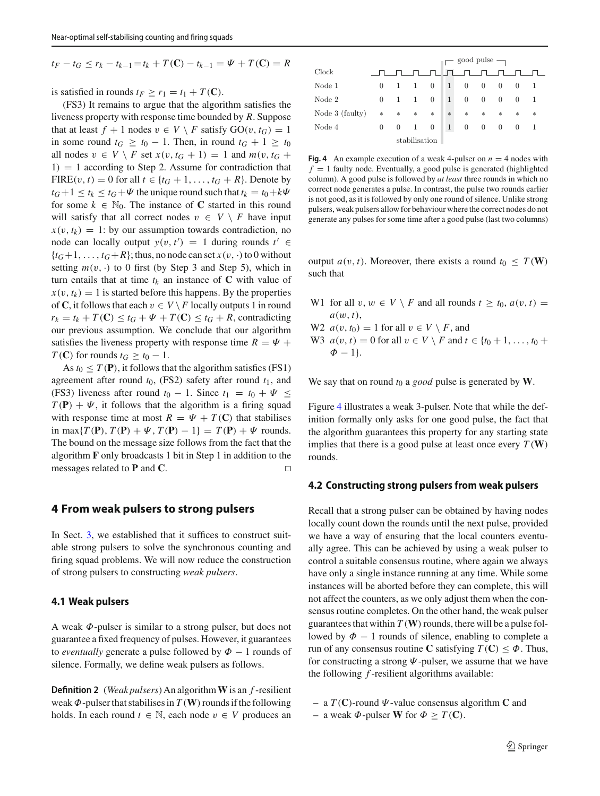$t_F - t_G \leq r_k - t_{k-1} = t_k + T(C) - t_{k-1} = \Psi + T(C) = R$ 

is satisfied in rounds  $t_F \ge r_1 = t_1 + T(\mathbf{C})$ .

(FS3) It remains to argue that the algorithm satisfies the liveness property with response time bounded by *R*. Suppose that at least  $f + 1$  nodes  $v \in V \setminus F$  satisfy  $GO(v, t_G) = 1$ in some round  $t_G \geq t_0 - 1$ . Then, in round  $t_G + 1 \geq t_0$ all nodes  $v \in V \setminus F$  set  $x(v, t_G + 1) = 1$  and  $m(v, t_G + 1)$  $1) = 1$  according to Step 2. Assume for contradiction that FIRE(*v*, *t*) = 0 for all  $t \in \{t_G + 1, \ldots, t_G + R\}$ . Denote by  $t_G+1 \le t_k \le t_G+\Psi$  the unique round such that  $t_k = t_0+k\Psi$ for some  $k \in \mathbb{N}_0$ . The instance of **C** started in this round will satisfy that all correct nodes  $v \in V \setminus F$  have input  $x(v, t_k) = 1$ : by our assumption towards contradiction, no node can locally output  $y(v, t') = 1$  during rounds  $t' \in$  $\{t_G+1,\ldots,t_G+R\}$ ; thus, no node can set  $x(v, \cdot)$  to 0 without setting  $m(v, \cdot)$  to 0 first (by Step 3 and Step 5), which in turn entails that at time  $t_k$  an instance of  $C$  with value of  $x(v, t_k) = 1$  is started before this happens. By the properties of **C**, it follows that each  $v \in V \setminus F$  locally outputs 1 in round  $r_k = t_k + T(\mathbf{C}) \le t_G + \Psi + T(\mathbf{C}) \le t_G + R$ , contradicting our previous assumption. We conclude that our algorithm satisfies the liveness property with response time  $R = \Psi +$ *T* (**C**) for rounds  $t_G \geq t_0 - 1$ .

As  $t_0 \leq T(\mathbf{P})$ , it follows that the algorithm satisfies (FS1) agreement after round  $t_0$ , (FS2) safety after round  $t_1$ , and (FS3) liveness after round  $t_0 - 1$ . Since  $t_1 = t_0 + \Psi \leq$  $T(\mathbf{P}) + \Psi$ , it follows that the algorithm is a firing squad with response time at most  $R = \Psi + T(C)$  that stabilises in max $\{T(\mathbf{P}), T(\mathbf{P}) + \Psi, T(\mathbf{P}) - 1\} = T(\mathbf{P}) + \Psi$  rounds. The bound on the message size follows from the fact that the algorithm **F** only broadcasts 1 bit in Step 1 in addition to the messages related to **P** and **C**. 

## <span id="page-8-0"></span>**4 From weak pulsers to strong pulsers**

In Sect. [3,](#page-6-0) we established that it suffices to construct suitable strong pulsers to solve the synchronous counting and firing squad problems. We will now reduce the construction of strong pulsers to constructing *weak pulsers*.

#### **4.1 Weak pulsers**

A weak Φ-pulser is similar to a strong pulser, but does not guarantee a fixed frequency of pulses. However, it guarantees to *eventually* generate a pulse followed by  $\Phi - 1$  rounds of silence. Formally, we define weak pulsers as follows.

<span id="page-8-2"></span>**Definition 2** (*Weak pulsers*) An algorithm**W**is an *f* -resilient weak  $\Phi$ -pulser that stabilises in  $T(W)$  rounds if the following holds. In each round  $t \in \mathbb{N}$ , each node  $v \in V$  produces an



<span id="page-8-1"></span>**Fig. 4** An example execution of a weak 4-pulser on  $n = 4$  nodes with  $f = 1$  faulty node. Eventually, a good pulse is generated (highlighted column). A good pulse is followed by *at least* three rounds in which no correct node generates a pulse. In contrast, the pulse two rounds earlier is not good, as it is followed by only one round of silence. Unlike strong pulsers, weak pulsers allow for behaviour where the correct nodes do not generate any pulses for some time after a good pulse (last two columns)

output  $a(v, t)$ . Moreover, there exists a round  $t_0 \leq T(\mathbf{W})$ such that

- W1 for all  $v, w \in V \setminus F$  and all rounds  $t \ge t_0, a(v, t) =$ *a*(w, *t*),
- W2  $a(v, t_0) = 1$  for all  $v \in V \setminus F$ , and
- W3  $a(v, t) = 0$  for all  $v \in V \setminus F$  and  $t \in \{t_0 + 1, \ldots, t_0 +$  $\Phi - 1$ .

We say that on round *t*<sup>0</sup> a *good* pulse is generated by **W**.

Figure [4](#page-8-1) illustrates a weak 3-pulser. Note that while the definition formally only asks for one good pulse, the fact that the algorithm guarantees this property for any starting state implies that there is a good pulse at least once every  $T(W)$ rounds.

#### <span id="page-8-3"></span>**4.2 Constructing strong pulsers from weak pulsers**

Recall that a strong pulser can be obtained by having nodes locally count down the rounds until the next pulse, provided we have a way of ensuring that the local counters eventually agree. This can be achieved by using a weak pulser to control a suitable consensus routine, where again we always have only a single instance running at any time. While some instances will be aborted before they can complete, this will not affect the counters, as we only adjust them when the consensus routine completes. On the other hand, the weak pulser guarantees that within  $T(W)$  rounds, there will be a pulse followed by  $\Phi - 1$  rounds of silence, enabling to complete a run of any consensus routine **C** satisfying  $T(C) \leq \Phi$ . Thus, for constructing a strong  $\Psi$ -pulser, we assume that we have the following *f* -resilient algorithms available:

– a *T* (**C**)-round Ψ-value consensus algorithm **C** and – a weak  $\Phi$ -pulser **W** for  $\Phi \geq T(\mathbf{C})$ .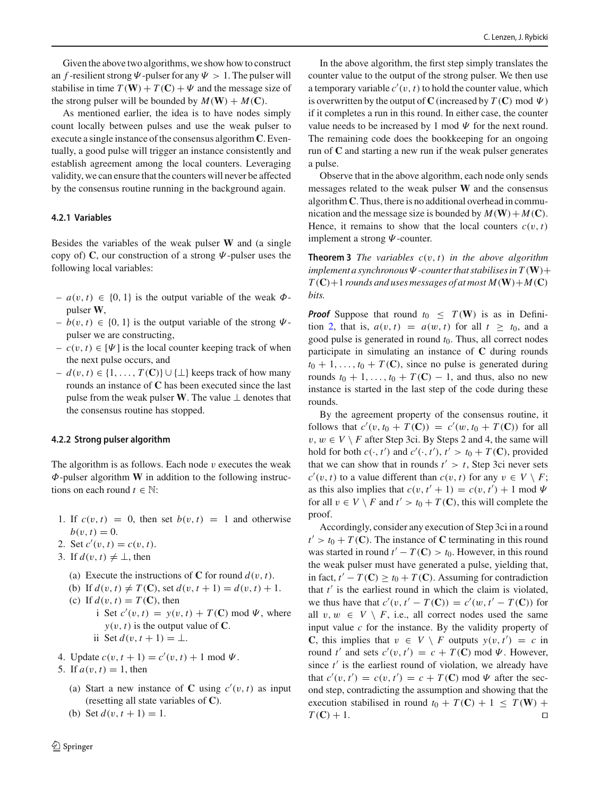Given the above two algorithms, we show how to construct an *f* -resilient strong  $\Psi$ -pulser for any  $\Psi > 1$ . The pulser will stabilise in time  $T(W) + T(C) + \Psi$  and the message size of the strong pulser will be bounded by  $M(\mathbf{W}) + M(\mathbf{C})$ .

As mentioned earlier, the idea is to have nodes simply count locally between pulses and use the weak pulser to execute a single instance of the consensus algorithm **C**. Eventually, a good pulse will trigger an instance consistently and establish agreement among the local counters. Leveraging validity, we can ensure that the counters will never be affected by the consensus routine running in the background again.

#### **4.2.1 Variables**

Besides the variables of the weak pulser **W** and (a single copy of) **C**, our construction of a strong  $\Psi$ -pulser uses the following local variables:

- $a(v, t) \in \{0, 1\}$  is the output variable of the weak  $\Phi$ pulser **W**,
- $b(v, t) \in \{0, 1\}$  is the output variable of the strong  $\Psi$ pulser we are constructing,
- $c(v, t)$  ∈ [Ψ] is the local counter keeping track of when the next pulse occurs, and
- $-d(v, t) \in \{1, \ldots, T(\mathbb{C})\} \cup \{\perp\}$  keeps track of how many rounds an instance of **C** has been executed since the last pulse from the weak pulser **W**. The value  $\perp$  denotes that the consensus routine has stopped.

#### **4.2.2 Strong pulser algorithm**

The algorithm is as follows. Each node  $v$  executes the weak Φ-pulser algorithm **W** in addition to the following instructions on each round  $t \in \mathbb{N}$ :

- 1. If  $c(v, t) = 0$ , then set  $b(v, t) = 1$  and otherwise  $b(v, t) = 0.$
- 2. Set  $c'(v, t) = c(v, t)$ .
- 3. If  $d(v, t) \neq \perp$ , then
	- (a) Execute the instructions of **C** for round  $d(v, t)$ .
	- (b) If  $d(v, t) \neq T(\mathbb{C})$ , set  $d(v, t + 1) = d(v, t) + 1$ .
	- (c) If  $d(v, t) = T(\mathbb{C})$ , then
		- i Set  $c'(v, t) = y(v, t) + T(\mathbb{C}) \text{ mod } \Psi$ , where  $y(v, t)$  is the output value of **C**. ii Set  $d(v, t + 1) = \perp$ .
- 4. Update  $c(v, t + 1) = c'(v, t) + 1 \text{ mod } \Psi$ .
- 5. If  $a(v, t) = 1$ , then
	- (a) Start a new instance of **C** using  $c'(v, t)$  as input (resetting all state variables of **C**).
	- (b) Set  $d(v, t + 1) = 1$ .

In the above algorithm, the first step simply translates the counter value to the output of the strong pulser. We then use a temporary variable  $c'(v, t)$  to hold the counter value, which is overwritten by the output of **C** (increased by  $T(C)$  mod  $\Psi$ ) if it completes a run in this round. In either case, the counter value needs to be increased by 1 mod  $\Psi$  for the next round. The remaining code does the bookkeeping for an ongoing run of **C** and starting a new run if the weak pulser generates a pulse.

Observe that in the above algorithm, each node only sends messages related to the weak pulser **W** and the consensus algorithm**C**. Thus, there is no additional overhead in communication and the message size is bounded by  $M(\mathbf{W}) + M(\mathbf{C})$ . Hence, it remains to show that the local counters  $c(v, t)$ implement a strong  $\Psi$ -counter.

<span id="page-9-0"></span>**Theorem 3** *The variables*  $c(v, t)$  *in the above algorithm implement a synchronous*  $\Psi$  *-counter that stabilises in*  $T(W)$  +  $T(\mathbf{C})+1$  *rounds and uses messages of at most*  $M(\mathbf{W})+M(\mathbf{C})$ *bits.*

*Proof* Suppose that round  $t_0 \leq T(W)$  is as in Defini-tion [2,](#page-8-2) that is,  $a(v, t) = a(w, t)$  for all  $t \geq t_0$ , and a good pulse is generated in round *t*0. Thus, all correct nodes participate in simulating an instance of **C** during rounds  $t_0 + 1, \ldots, t_0 + T(C)$ , since no pulse is generated during rounds  $t_0 + 1, \ldots, t_0 + T(\mathbb{C}) - 1$ , and thus, also no new instance is started in the last step of the code during these rounds.

By the agreement property of the consensus routine, it follows that  $c'(v, t_0 + T(\mathbf{C})) = c'(w, t_0 + T(\mathbf{C}))$  for all  $v, w \in V \setminus F$  after Step 3ci. By Steps 2 and 4, the same will hold for both  $c(\cdot, t')$  and  $c'(\cdot, t')$ ,  $t' > t_0 + T(\mathbb{C})$ , provided that we can show that in rounds  $t' > t$ , Step 3ci never sets  $c'(v, t)$  to a value different than  $c(v, t)$  for any  $v \in V \setminus F$ ; as this also implies that  $c(v, t' + 1) = c(v, t') + 1 \text{ mod } \Psi$ for all  $v \in V \setminus F$  and  $t' > t_0 + T(\mathbb{C})$ , this will complete the proof.

Accordingly, consider any execution of Step 3ci in a round  $t' > t_0 + T(\mathbf{C})$ . The instance of **C** terminating in this round was started in round  $t' - T(C) > t_0$ . However, in this round the weak pulser must have generated a pulse, yielding that, in fact,  $t' - T(C) \ge t_0 + T(C)$ . Assuming for contradiction that  $t'$  is the earliest round in which the claim is violated, we thus have that  $c'(v, t' - T(C)) = c'(w, t' - T(C))$  for all  $v, w \in V \setminus F$ , i.e., all correct nodes used the same input value *c* for the instance. By the validity property of **C**, this implies that  $v \in V \setminus F$  outputs  $y(v, t') = c$  in round *t*<sup> $\prime$ </sup> and sets  $c'(v, t') = c + T(\mathbb{C}) \text{ mod } \Psi$ . However, since  $t'$  is the earliest round of violation, we already have that  $c'(v, t') = c(v, t') = c + T(\mathbb{C}) \text{ mod } \Psi$  after the second step, contradicting the assumption and showing that the execution stabilised in round  $t_0 + T(\mathbf{C}) + 1 \leq T(\mathbf{W}) +$  $T({\bf C}) + 1.$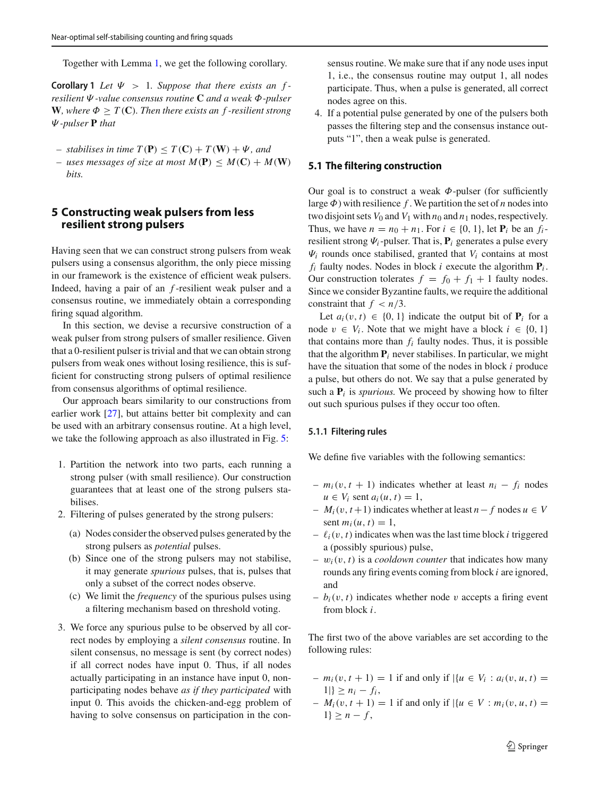<span id="page-10-1"></span>Together with Lemma [1,](#page-6-2) we get the following corollary.

**Corollary 1** *Let*  $\Psi > 1$ *. Suppose that there exists an fresilient* Ψ*-value consensus routine* **C** *and a weak* Φ*-pulser* **W***, where*  $\Phi \geq T(\mathbb{C})$ *. Then there exists an f-resilient strong* Ψ*-pulser* **P** *that*

- *stabilises in time*  $T(\mathbf{P}) \leq T(\mathbf{C}) + T(\mathbf{W}) + \Psi$ *, and*
- *uses messages of size at most*  $M(\mathbf{P}) \leq M(\mathbf{C}) + M(\mathbf{W})$ *bits.*

## <span id="page-10-0"></span>**5 Constructing weak pulsers from less resilient strong pulsers**

Having seen that we can construct strong pulsers from weak pulsers using a consensus algorithm, the only piece missing in our framework is the existence of efficient weak pulsers. Indeed, having a pair of an *f* -resilient weak pulser and a consensus routine, we immediately obtain a corresponding firing squad algorithm.

In this section, we devise a recursive construction of a weak pulser from strong pulsers of smaller resilience. Given that a 0-resilient pulser is trivial and that we can obtain strong pulsers from weak ones without losing resilience, this is sufficient for constructing strong pulsers of optimal resilience from consensus algorithms of optimal resilience.

Our approach bears similarity to our constructions from earlier work [\[27](#page-21-8)], but attains better bit complexity and can be used with an arbitrary consensus routine. At a high level, we take the following approach as also illustrated in Fig. [5:](#page-11-0)

- 1. Partition the network into two parts, each running a strong pulser (with small resilience). Our construction guarantees that at least one of the strong pulsers stabilises.
- 2. Filtering of pulses generated by the strong pulsers:
	- (a) Nodes consider the observed pulses generated by the strong pulsers as *potential* pulses.
	- (b) Since one of the strong pulsers may not stabilise, it may generate *spurious* pulses, that is, pulses that only a subset of the correct nodes observe.
	- (c) We limit the *frequency* of the spurious pulses using a filtering mechanism based on threshold voting.
- 3. We force any spurious pulse to be observed by all correct nodes by employing a *silent consensus* routine. In silent consensus, no message is sent (by correct nodes) if all correct nodes have input 0. Thus, if all nodes actually participating in an instance have input 0, nonparticipating nodes behave *as if they participated* with input 0. This avoids the chicken-and-egg problem of having to solve consensus on participation in the con-

sensus routine. We make sure that if any node uses input 1, i.e., the consensus routine may output 1, all nodes participate. Thus, when a pulse is generated, all correct nodes agree on this.

4. If a potential pulse generated by one of the pulsers both passes the filtering step and the consensus instance outputs "1", then a weak pulse is generated.

## **5.1 The filtering construction**

Our goal is to construct a weak  $\Phi$ -pulser (for sufficiently large Φ) with resilience *f* . We partition the set of *n* nodes into two disjoint sets  $V_0$  and  $V_1$  with  $n_0$  and  $n_1$  nodes, respectively. Thus, we have  $n = n_0 + n_1$ . For  $i \in \{0, 1\}$ , let  $P_i$  be an  $f_i$ resilient strong  $\Psi_i$ -pulser. That is,  $P_i$  generates a pulse every  $\Psi_i$  rounds once stabilised, granted that  $V_i$  contains at most  $f_i$  faulty nodes. Nodes in block *i* execute the algorithm  $P_i$ . Our construction tolerates  $f = f_0 + f_1 + 1$  faulty nodes. Since we consider Byzantine faults, we require the additional constraint that  $f < n/3$ .

Let  $a_i(v, t) \in \{0, 1\}$  indicate the output bit of  $P_i$  for a node  $v \in V_i$ . Note that we might have a block  $i \in \{0, 1\}$ that contains more than  $f_i$  faulty nodes. Thus, it is possible that the algorithm  $P_i$  never stabilises. In particular, we might have the situation that some of the nodes in block *i* produce a pulse, but others do not. We say that a pulse generated by such a  $P_i$  is *spurious*. We proceed by showing how to filter out such spurious pulses if they occur too often.

## **5.1.1 Filtering rules**

We define five variables with the following semantics:

- $m_i(v, t + 1)$  indicates whether at least  $n_i f_i$  nodes  $u \in V_i$  sent  $a_i(u, t) = 1$ ,
- $-M<sub>i</sub>(v, t+1)$  indicates whether at least *n*− *f* nodes *u* ∈ *V* sent  $m_i(u, t) = 1$ ,
- $\ell_i(v, t)$  indicates when was the last time block *i* triggered a (possibly spurious) pulse,
- $w_i(v, t)$  is a *cooldown counter* that indicates how many rounds any firing events coming from block *i* are ignored, and
- $b_i(v, t)$  indicates whether node v accepts a firing event from block *i*.

The first two of the above variables are set according to the following rules:

- $-m_i(v, t + 1) = 1$  if and only if  $|\{u \in V_i : a_i(v, u, t)\}$ 1|} ≥  $n_i - f_i$ ,
- $M_i(v, t + 1) = 1$  if and only if  $|\{u \in V : m_i(v, u, t)\}$ 1} ≥ *n* − *f*,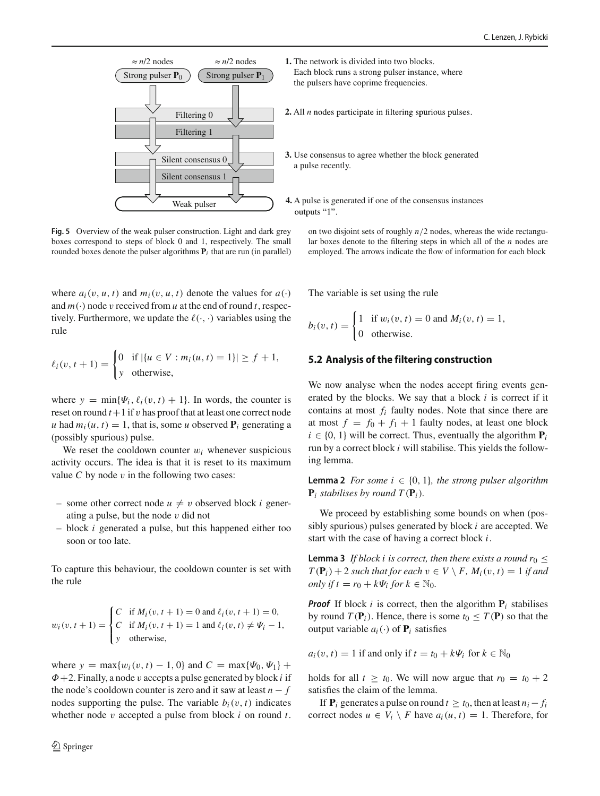

<span id="page-11-0"></span>**Fig. 5** Overview of the weak pulser construction. Light and dark grey boxes correspond to steps of block 0 and 1, respectively. The small rounded boxes denote the pulser algorithms  $P_i$  that are run (in parallel)

where  $a_i(v, u, t)$  and  $m_i(v, u, t)$  denote the values for  $a(\cdot)$ and  $m(\cdot)$  node v received from *u* at the end of round *t*, respectively. Furthermore, we update the  $\ell(\cdot, \cdot)$  variables using the rule

$$
\ell_i(v, t+1) = \begin{cases} 0 & \text{if } |\{u \in V : m_i(u, t) = 1\}| \ge f + 1, \\ y & \text{otherwise,} \end{cases}
$$

where  $y = \min{\{\Psi_i, \ell_i(v, t) + 1\}}$ . In words, the counter is reset on round  $t+1$  if v has proof that at least one correct node *u* had  $m_i(u, t) = 1$ , that is, some *u* observed  $P_i$  generating a (possibly spurious) pulse.

We reset the cooldown counter  $w_i$  whenever suspicious activity occurs. The idea is that it is reset to its maximum value  $C$  by node  $v$  in the following two cases:

- some other correct node  $u \neq v$  observed block *i* generating a pulse, but the node  $v$  did not
- block *i* generated a pulse, but this happened either too soon or too late.

To capture this behaviour, the cooldown counter is set with the rule

$$
w_i(v, t+1) = \begin{cases} C & \text{if } M_i(v, t+1) = 0 \text{ and } \ell_i(v, t+1) = 0, \\ C & \text{if } M_i(v, t+1) = 1 \text{ and } \ell_i(v, t) \neq \Psi_i - 1, \\ y & \text{otherwise,} \end{cases}
$$

where  $y = \max\{w_i(v, t) - 1, 0\}$  and  $C = \max\{\Psi_0, \Psi_1\}$  +  $\Phi$  +2. Finally, a node v accepts a pulse generated by block *i* if the node's cooldown counter is zero and it saw at least  $n - f$ nodes supporting the pulse. The variable  $b_i(v, t)$  indicates whether node v accepted a pulse from block *i* on round *t*.

**1.** The network is divided into two blocks. Each block runs a strong pulser instance, where the pulsers have coprime frequencies.

2. All *n* nodes participate in filtering spurious pulses.

**3.** Use consensus to agree whether the block generated a pulse recently.

**4.** A pulse is generated if one of the consensus instances outputs "1".

on two disjoint sets of roughly *n*/2 nodes, whereas the wide rectangular boxes denote to the filtering steps in which all of the *n* nodes are employed. The arrows indicate the flow of information for each block

The variable is set using the rule

$$
b_i(v, t) = \begin{cases} 1 & \text{if } w_i(v, t) = 0 \text{ and } M_i(v, t) = 1, \\ 0 & \text{otherwise.} \end{cases}
$$

#### **5.2 Analysis of the filtering construction**

We now analyse when the nodes accept firing events generated by the blocks. We say that a block *i* is correct if it contains at most *fi* faulty nodes. Note that since there are at most  $f = f_0 + f_1 + 1$  faulty nodes, at least one block  $i \in \{0, 1\}$  will be correct. Thus, eventually the algorithm  $P_i$ run by a correct block *i* will stabilise. This yields the following lemma.

<span id="page-11-2"></span>**Lemma 2** *For some*  $i \in \{0, 1\}$ *, the strong pulser algorithm*  $P_i$  *stabilises by round*  $T(P_i)$ *.* 

We proceed by establishing some bounds on when (possibly spurious) pulses generated by block *i* are accepted. We start with the case of having a correct block *i*.

<span id="page-11-1"></span>**Lemma 3** *If block i is correct, then there exists a round r*<sub>0</sub>  $\leq$  $T(\mathbf{P}_i) + 2$  *such that for each*  $v \in V \setminus F$ ,  $M_i(v, t) = 1$  *if and only if*  $t = r_0 + k\Psi_i$  *for*  $k \in \mathbb{N}_0$ .

*Proof* If block *i* is correct, then the algorithm  $P_i$  stabilises by round  $T(\mathbf{P}_i)$ . Hence, there is some  $t_0 \leq T(\mathbf{P})$  so that the output variable  $a_i(\cdot)$  of  $P_i$  satisfies

 $a_i(v, t) = 1$  if and only if  $t = t_0 + k\Psi_i$  for  $k \in \mathbb{N}_0$ 

holds for all  $t \geq t_0$ . We will now argue that  $r_0 = t_0 + 2$ satisfies the claim of the lemma.

If  $P_i$  generates a pulse on round  $t \geq t_0$ , then at least  $n_i - f_i$ correct nodes  $u \in V_i \setminus F$  have  $a_i(u, t) = 1$ . Therefore, for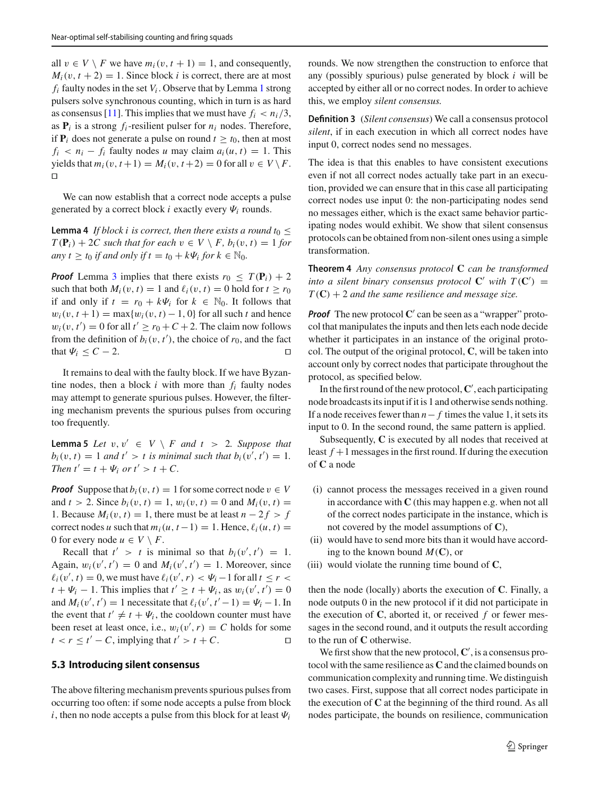all  $v \in V \setminus F$  we have  $m_i(v, t + 1) = 1$ , and consequently,  $M_i(v, t + 2) = 1$ . Since block *i* is correct, there are at most  $f_i$  faulty nodes in the set  $V_i$ . Observe that by Lemma [1](#page-6-2) strong pulsers solve synchronous counting, which in turn is as hard as consensus [\[11\]](#page-21-2). This implies that we must have  $f_i < n_i/3$ , as  $P_i$  is a strong  $f_i$ -resilient pulser for  $n_i$  nodes. Therefore, if  $P_i$  does not generate a pulse on round  $t \geq t_0$ , then at most  $f_i \leq n_i - f_i$  faulty nodes *u* may claim  $a_i(u, t) = 1$ . This yields that  $m_i(v, t+1) = M_i(v, t+2) = 0$  for all  $v \in V \backslash F$ . L

<span id="page-12-1"></span>We can now establish that a correct node accepts a pulse generated by a correct block *i* exactly every Ψ*<sup>i</sup>* rounds.

**Lemma 4** *If block i is correct, then there exists a round t* $_0 \leq$  $T(\mathbf{P}_i) + 2C$  *such that for each*  $v \in V \setminus F$ ,  $b_i(v, t) = 1$  *for any*  $t \geq t_0$  *if and only if*  $t = t_0 + k\Psi_i$  *for*  $k \in \mathbb{N}_0$ *.* 

*Proof* Lemma [3](#page-11-1) implies that there exists  $r_0 \leq T(\mathbf{P}_i) + 2$ such that both  $M_i(v, t) = 1$  and  $\ell_i(v, t) = 0$  hold for  $t \ge r_0$ if and only if  $t = r_0 + k\Psi_i$  for  $k \in \mathbb{N}_0$ . It follows that  $w_i(v, t+1) = \max\{w_i(v, t) - 1, 0\}$  for all such *t* and hence  $w_i(v, t') = 0$  for all  $t' \ge r_0 + C + 2$ . The claim now follows from the definition of  $b_i(v, t')$ , the choice of  $r_0$ , and the fact that  $\Psi_i \leq C - 2$ .

It remains to deal with the faulty block. If we have Byzantine nodes, then a block  $i$  with more than  $f_i$  faulty nodes may attempt to generate spurious pulses. However, the filtering mechanism prevents the spurious pulses from occuring too frequently.

<span id="page-12-0"></span>**Lemma 5** *Let*  $v, v' \in V \setminus F$  *and*  $t > 2$ *. Suppose that*  $b_i(v, t) = 1$  *and*  $t' > t$  *is minimal such that*  $b_i(v', t') = 1$ *. Then*  $t' = t + \Psi_i$  *or*  $t' > t + C$ .

*Proof* Suppose that  $b_i(v, t) = 1$  for some correct node  $v \in V$ and *t* > 2. Since  $b_i(v, t) = 1$ ,  $w_i(v, t) = 0$  and  $M_i(v, t) = 0$ 1. Because  $M_i(v, t) = 1$ , there must be at least  $n - 2f > f$ correct nodes *u* such that  $m_i(u, t-1) = 1$ . Hence,  $\ell_i(u, t) =$ 0 for every node  $u \in V \setminus F$ .

Recall that  $t' > t$  is minimal so that  $b_i(v', t') = 1$ . Again,  $w_i(v', t') = 0$  and  $M_i(v', t') = 1$ . Moreover, since  $\ell_i(v', t) = 0$ , we must have  $\ell_i(v', r) < \Psi_i - 1$  for all  $t \le r <$  $t + \Psi_i - 1$ . This implies that  $t' \geq t + \Psi_i$ , as  $w_i(v', t') = 0$ and  $M_i(v', t') = 1$  necessitate that  $\ell_i(v', t' - 1) = \Psi_i - 1$ . In the event that  $t' \neq t + \Psi_i$ , the cooldown counter must have been reset at least once, i.e.,  $w_i(v', r) = C$  holds for some  $t < r \leq t' - C$ , implying that  $t' > t + C$ .  $\Box$ 

#### **5.3 Introducing silent consensus**

The above filtering mechanism prevents spurious pulses from occurring too often: if some node accepts a pulse from block *i*, then no node accepts a pulse from this block for at least  $\Psi_i$ 

rounds. We now strengthen the construction to enforce that any (possibly spurious) pulse generated by block *i* will be accepted by either all or no correct nodes. In order to achieve this, we employ *silent consensus.*

**Definition 3** (*Silent consensus*) We call a consensus protocol *silent*, if in each execution in which all correct nodes have input 0, correct nodes send no messages.

The idea is that this enables to have consistent executions even if not all correct nodes actually take part in an execution, provided we can ensure that in this case all participating correct nodes use input 0: the non-participating nodes send no messages either, which is the exact same behavior participating nodes would exhibit. We show that silent consensus protocols can be obtained from non-silent ones using a simple transformation.

<span id="page-12-2"></span>**Theorem 4** *Any consensus protocol* **C** *can be transformed into a silent binary consensus protocol*  $\mathbb{C}'$  with  $T(\mathbb{C}') =$  $T(\mathbf{C}) + 2$  *and the same resilience and message size.* 

**Proof** The new protocol C' can be seen as a "wrapper" protocol that manipulates the inputs and then lets each node decide whether it participates in an instance of the original protocol. The output of the original protocol, **C**, will be taken into account only by correct nodes that participate throughout the protocol, as specified below.

In the first round of the new protocol,  $C'$ , each participating node broadcasts its input if it is 1 and otherwise sends nothing. If a node receives fewer than *n*− *f* times the value 1, it sets its input to 0. In the second round, the same pattern is applied.

Subsequently, **C** is executed by all nodes that received at least  $f + 1$  messages in the first round. If during the execution of **C** a node

- (i) cannot process the messages received in a given round in accordance with **C** (this may happen e.g. when not all of the correct nodes participate in the instance, which is not covered by the model assumptions of **C**),
- (ii) would have to send more bits than it would have according to the known bound  $M(\mathbb{C})$ , or
- (iii) would violate the running time bound of **C**,

then the node (locally) aborts the execution of **C**. Finally, a node outputs 0 in the new protocol if it did not participate in the execution of **C**, aborted it, or received *f* or fewer messages in the second round, and it outputs the result according to the run of **C** otherwise.

We first show that the new protocol,  $\mathbb{C}'$ , is a consensus protocol with the same resilience as **C** and the claimed bounds on communication complexity and running time.We distinguish two cases. First, suppose that all correct nodes participate in the execution of **C** at the beginning of the third round. As all nodes participate, the bounds on resilience, communication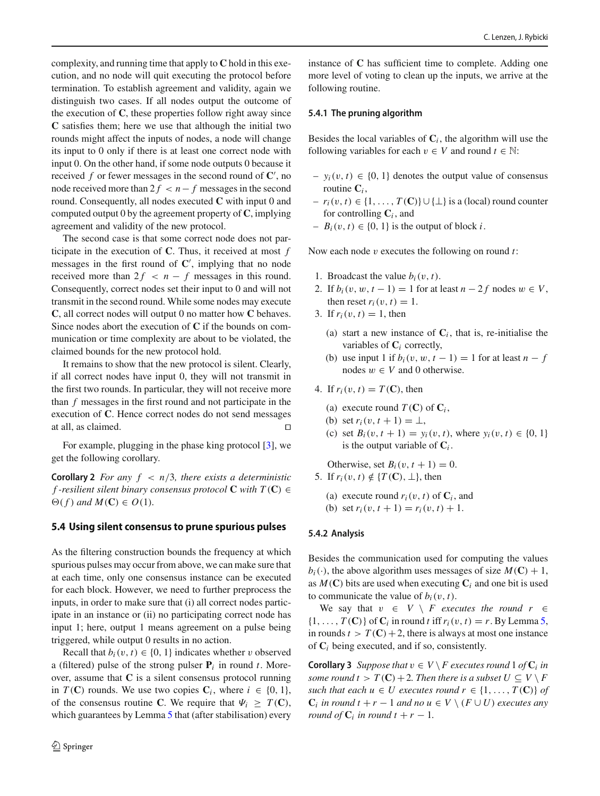complexity, and running time that apply to **C** hold in this execution, and no node will quit executing the protocol before termination. To establish agreement and validity, again we distinguish two cases. If all nodes output the outcome of the execution of **C**, these properties follow right away since **C** satisfies them; here we use that although the initial two rounds might affect the inputs of nodes, a node will change its input to 0 only if there is at least one correct node with input 0. On the other hand, if some node outputs 0 because it received  $f$  or fewer messages in the second round of  $\mathbb{C}'$ , no node received more than  $2f < n - f$  messages in the second round. Consequently, all nodes executed **C** with input 0 and computed output 0 by the agreement property of **C**, implying agreement and validity of the new protocol.

The second case is that some correct node does not participate in the execution of **C**. Thus, it received at most *f* messages in the first round of  $\mathbb{C}'$ , implying that no node received more than  $2f < n - f$  messages in this round. Consequently, correct nodes set their input to 0 and will not transmit in the second round. While some nodes may execute **C**, all correct nodes will output 0 no matter how **C** behaves. Since nodes abort the execution of **C** if the bounds on communication or time complexity are about to be violated, the claimed bounds for the new protocol hold.

It remains to show that the new protocol is silent. Clearly, if all correct nodes have input 0, they will not transmit in the first two rounds. In particular, they will not receive more than *f* messages in the first round and not participate in the execution of **C**. Hence correct nodes do not send messages at all, as claimed. 

For example, plugging in the phase king protocol [\[3](#page-20-3)], we get the following corollary.

**Corollary 2** *For any*  $f \leq n/3$ *, there exists a deterministic f* -resilient silent binary consensus protocol **C** with  $T(C) \in$  $\Theta(f)$  and  $M(\mathbf{C}) \in O(1)$ .

#### <span id="page-13-1"></span>**5.4 Using silent consensus to prune spurious pulses**

As the filtering construction bounds the frequency at which spurious pulses may occur from above, we can make sure that at each time, only one consensus instance can be executed for each block. However, we need to further preprocess the inputs, in order to make sure that (i) all correct nodes participate in an instance or (ii) no participating correct node has input 1; here, output 1 means agreement on a pulse being triggered, while output 0 results in no action.

Recall that  $b_i(v, t) \in \{0, 1\}$  indicates whether v observed a (filtered) pulse of the strong pulser  $P_i$  in round *t*. Moreover, assume that **C** is a silent consensus protocol running in *T*(**C**) rounds. We use two copies  $C_i$ , where  $i \in \{0, 1\}$ , of the consensus routine **C**. We require that  $\Psi_i \geq T(\mathbb{C}),$ which guarantees by Lemma [5](#page-12-0) that (after stabilisation) every instance of **C** has sufficient time to complete. Adding one more level of voting to clean up the inputs, we arrive at the following routine.

## **5.4.1 The pruning algorithm**

Besides the local variables of  $C_i$ , the algorithm will use the following variables for each  $v \in V$  and round  $t \in \mathbb{N}$ :

- *yi*(v, *t*) ∈ {0, 1} denotes the output value of consensus routine  $C_i$ ,
- *ri*(v, *t*) ∈ {1,..., *T* (**C**)} ∪ {⊥} is a (local) round counter for controlling  $C_i$ , and
- $-B_i(v, t) \in \{0, 1\}$  is the output of block *i*.

Now each node v executes the following on round *t*:

- 1. Broadcast the value  $b_i(v, t)$ .
- 2. If  $b_i(v, w, t-1) = 1$  for at least  $n 2f$  nodes  $w \in V$ , then reset  $r_i(v, t) = 1$ .
- 3. If  $r_i(v, t) = 1$ , then
	- (a) start a new instance of  $C_i$ , that is, re-initialise the variables of **C***<sup>i</sup>* correctly,
	- (b) use input 1 if  $b_i(v, w, t 1) = 1$  for at least  $n f$ nodes  $w \in V$  and 0 otherwise.
- 4. If  $r_i(v, t) = T(\mathbb{C})$ , then
	- (a) execute round  $T(\mathbf{C})$  of  $\mathbf{C}_i$ ,
	- (b) set  $r_i(v, t + 1) = \perp$ ,
	- (c) set  $B_i(v, t + 1) = y_i(v, t)$ , where  $y_i(v, t) \in \{0, 1\}$ is the output variable of  $C_i$ .

Otherwise, set  $B_i(v, t + 1) = 0$ .

- 5. If  $r_i(v, t) \notin \{T(\mathbf{C}), \perp\}$ , then
	- (a) execute round  $r_i(v, t)$  of  $C_i$ , and
	- (b) set  $r_i(v, t + 1) = r_i(v, t) + 1$ .

#### **5.4.2 Analysis**

Besides the communication used for computing the values  $b_i(\cdot)$ , the above algorithm uses messages of size  $M(\mathbb{C}) + 1$ , as  $M(C)$  bits are used when executing  $C_i$  and one bit is used to communicate the value of  $b_i(v, t)$ .

We say that  $v \in V \setminus F$  executes the round  $r \in$  $\{1, \ldots, T(\mathbf{C})\}$  of  $\mathbf{C}_i$  in round *t* iff  $r_i(v, t) = r$ . By Lemma [5,](#page-12-0) in rounds  $t > T(\mathbf{C}) + 2$ , there is always at most one instance of  $C_i$  being executed, and if so, consistently.

<span id="page-13-0"></span>**Corollary 3** *Suppose that*  $v \in V \setminus F$  *executes round* 1 *of*  $C_i$  *in some round t* >  $T(C)$  + 2*. Then there is a subset*  $U \subseteq V \setminus F$ *such that each*  $u \in U$  *executes round*  $r \in \{1, \ldots, T(\mathbb{C})\}$  *of*  $C_i$  *in round t* + *r* − 1 *and no u* ∈ *V*  $\setminus$  (*F* ∪ *U*) *executes any round of*  $C_i$  *in round t* + *r* − 1*.*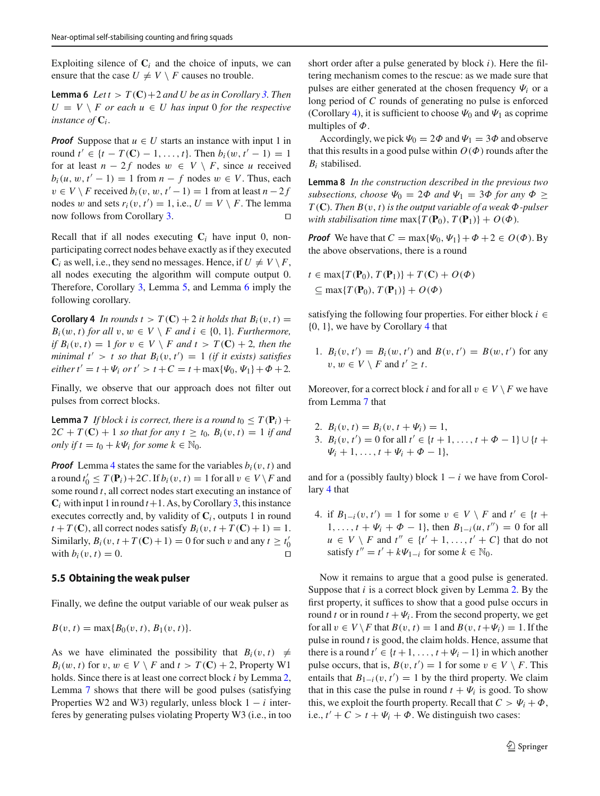Exploiting silence of  $C_i$  and the choice of inputs, we can ensure that the case  $U \neq V \setminus F$  causes no trouble.

**Lemma 6** *Let t* >  $T(C)+2$  *and U be as in Corollary* [3.](#page-13-0) *Then*  $U = V \setminus F$  *or each*  $u \in U$  *has input* 0 *for the respective instance of*  $C_i$ *.* 

*Proof* Suppose that  $u \in U$  starts an instance with input 1 in round  $t' \in \{t - T(\mathbf{C}) - 1, \ldots, t\}$ . Then  $b_i(w, t' - 1) = 1$ for at least  $n - 2f$  nodes  $w \in V \setminus F$ , since *u* received  $b_i(u, w, t' - 1) = 1$  from  $n - f$  nodes  $w \in V$ . Thus, each  $v \in V \setminus F$  received  $b_i(v, w, t' - 1) = 1$  from at least  $n - 2j$ nodes w and sets  $r_i(v, t') = 1$ , i.e.,  $U = V \setminus F$ . The lemma now follows from Corollary [3.](#page-13-0)  $\Box$ 

Recall that if all nodes executing  $C_i$  have input 0, nonparticipating correct nodes behave exactly as if they executed  $C_i$  as well, i.e., they send no messages. Hence, if  $U \neq V \setminus F$ , all nodes executing the algorithm will compute output 0. Therefore, Corollary [3,](#page-13-0) Lemma [5,](#page-12-0) and Lemma [6](#page-14-0) imply the following corollary.

<span id="page-14-2"></span>**Corollary 4** *In rounds t* >  $T$  (**C**) + 2 *it holds that*  $B_i(v, t)$  =  $B_i(w, t)$  *for all*  $v, w \in V \setminus F$  *and*  $i \in \{0, 1\}$ *. Furthermore, if*  $B_i(v, t) = 1$  *for*  $v \in V \setminus F$  *and*  $t > T(\mathbb{C}) + 2$ *, then the minimal*  $t' > t$  *so that*  $B_i(v, t') = 1$  *(if it exists) satisfies*  $e$ *i*ther  $t' = t + \Psi_i$  or  $t' > t + C = t + \max{\Psi_0, \Psi_1} + \Phi + 2$ .

<span id="page-14-1"></span>Finally, we observe that our approach does not filter out pulses from correct blocks.

**Lemma 7** If block *i* is correct, there is a round  $t_0 \leq T(\mathbf{P}_i)$  +  $2C + T(C) + 1$  *so that for any*  $t \ge t_0$ *,*  $B_i(v, t) = 1$  *if and only if*  $t = t_0 + k\Psi_i$  *for some*  $k \in \mathbb{N}_0$ *.* 

*Proof* Lemma [4](#page-12-1) states the same for the variables  $b_i(v, t)$  and a round  $t'_0 \leq T(\mathbf{P}_i) + 2C$ . If  $b_i(v, t) = 1$  for all  $v \in V \setminus F$  and some round *t*, all correct nodes start executing an instance of  $C_i$  with input 1 in round  $t+1$ . As, by Corollary [3,](#page-13-0) this instance executes correctly and, by validity of  $C_i$ , outputs 1 in round  $t + T(\mathbf{C})$ , all correct nodes satisfy  $B_i(v, t + T(\mathbf{C}) + 1) = 1$ . Similarly,  $B_i(v, t + T(\mathbf{C}) + 1) = 0$  for such v and any  $t \geq t'_0$ with  $b_i(v, t) = 0$ .  $\Box$ 

#### <span id="page-14-4"></span>**5.5 Obtaining the weak pulser**

Finally, we define the output variable of our weak pulser as

$$
B(v, t) = \max\{B_0(v, t), B_1(v, t)\}.
$$

As we have eliminated the possibility that  $B_i(v, t) \neq$ *B<sub>i</sub>*(*w*, *t*) for *v*,  $w \in V \setminus F$  and  $t > T(\mathbb{C}) + 2$ , Property W1 holds. Since there is at least one correct block *i* by Lemma [2,](#page-11-2) Lemma [7](#page-14-1) shows that there will be good pulses (satisfying Properties W2 and W3) regularly, unless block 1 − *i* interferes by generating pulses violating Property W3 (i.e., in too

<span id="page-14-0"></span>short order after a pulse generated by block *i*). Here the filtering mechanism comes to the rescue: as we made sure that pulses are either generated at the chosen frequency  $\Psi_i$  or a long period of *C* rounds of generating no pulse is enforced (Corollary [4\)](#page-14-2), it is sufficient to choose  $\Psi_0$  and  $\Psi_1$  as coprime multiples of  $\Phi$ .

Accordingly, we pick  $\Psi_0 = 2\Phi$  and  $\Psi_1 = 3\Phi$  and observe that this results in a good pulse within  $O(\Phi)$  rounds after the *Bi* stabilised.

<span id="page-14-3"></span>**Lemma 8** *In the construction described in the previous two subsections, choose*  $\Psi_0 = 2\Phi$  *and*  $\Psi_1 = 3\Phi$  *for any*  $\Phi \geq$ *T* (**C**)*. Then B*(v, *t*)*is the output variable of a weak* Φ*-pulser with stabilisation time* max ${T(\mathbf{P}_0), T(\mathbf{P}_1)} + O(\Phi)$ .

*Proof* We have that  $C = \max{\Psi_0, \Psi_1} + \Phi + 2 \in O(\Phi)$ . By the above observations, there is a round

*t* ∈ max{*T* ( $P_0$ ), *T* ( $P_1$ )} + *T* (**C**) + *O*( $\Phi$ )  $\subseteq$  max $\{T(\mathbf{P}_0), T(\mathbf{P}_1)\} + O(\Phi)$ 

satisfying the following four properties. For either block  $i \in$ {0, 1}, we have by Corollary [4](#page-14-2) that

1.  $B_i(v, t') = B_i(w, t')$  and  $B(v, t') = B(w, t')$  for any  $v, w \in V \setminus F$  and  $t' \geq t$ .

Moreover, for a correct block *i* and for all  $v \in V \setminus F$  we have from Lemma [7](#page-14-1) that

- 2.  $B_i(v, t) = B_i(v, t + \Psi_i) = 1$ ,
- 3.  $B_i(v, t') = 0$  for all  $t' \in \{t + 1, \ldots, t + \Phi 1\} \cup \{t + \Phi\}$  $\Psi_i + 1, \ldots, t + \Psi_i + \Phi - 1$

and for a (possibly faulty) block  $1 - i$  we have from Corollary [4](#page-14-2) that

4. if  $B_{1-i}(v, t') = 1$  for some  $v \in V \setminus F$  and  $t' \in \{t +$  $1, \ldots, t + \Psi_i + \Phi - 1$ , then  $B_{1-i}(u, t'') = 0$  for all  $u \in V \setminus F$  and  $t'' \in \{t' + 1, \ldots, t' + C\}$  that do not satisfy  $t'' = t' + k\Psi_{1-i}$  for some  $k \in \mathbb{N}_0$ .

Now it remains to argue that a good pulse is generated. Suppose that *i* is a correct block given by Lemma [2.](#page-11-2) By the first property, it suffices to show that a good pulse occurs in round *t* or in round  $t + \Psi_i$ . From the second property, we get for all  $v \in V \backslash F$  that  $B(v, t) = 1$  and  $B(v, t + \Psi_i) = 1$ . If the pulse in round *t* is good, the claim holds. Hence, assume that there is a round  $t' \in \{t+1, \ldots, t + \Psi_i - 1\}$  in which another pulse occurs, that is,  $B(v, t') = 1$  for some  $v \in V \setminus F$ . This entails that  $B_{1-i}(v, t') = 1$  by the third property. We claim that in this case the pulse in round  $t + \Psi_i$  is good. To show this, we exploit the fourth property. Recall that  $C > \Psi_i + \Phi$ , i.e.,  $t' + C > t + \Psi_i + \Phi$ . We distinguish two cases: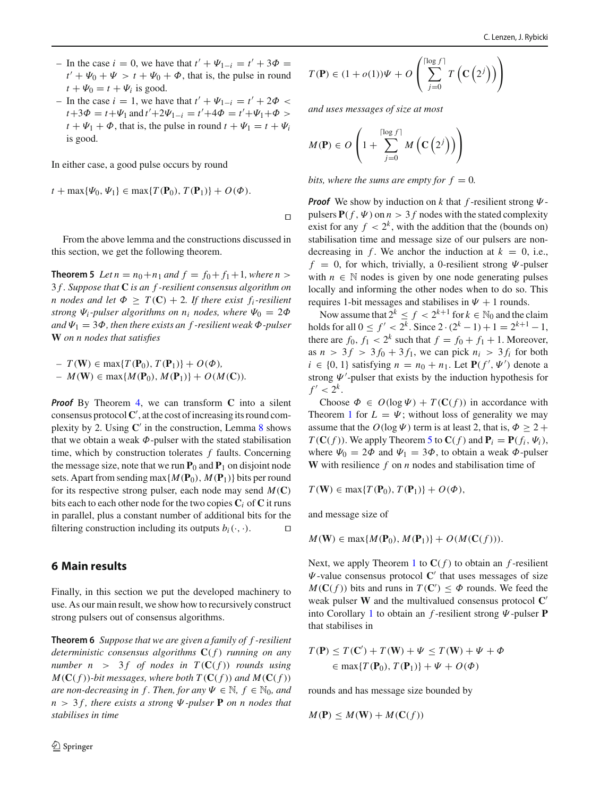- $-$  In the case *i* = 0, we have that  $t' + Ψ_{1-i} = t' + 3Φ =$  $t' + \Psi_0 + \Psi > t + \Psi_0 + \Phi$ , that is, the pulse in round  $t + \Psi_0 = t + \Psi_i$  is good.
- $-$  In the case *i* = 1, we have that  $t' + Ψ_{1-i} = t' + 2Φ$  <  $t+3\Phi = t+\Psi_1$  and  $t'+2\Psi_{1-i} = t'+4\Phi = t'+\Psi_1+\Phi >$  $t + \Psi_1 + \Phi$ , that is, the pulse in round  $t + \Psi_1 = t + \Psi_i$ is good.

In either case, a good pulse occurs by round

$$
t + \max{\{\Psi_0, \Psi_1\}} \in \max{\{T(\mathbf{P}_0), T(\mathbf{P}_1)\} + O(\Phi)}.
$$

 $\Box$ 

<span id="page-15-1"></span>From the above lemma and the constructions discussed in this section, we get the following theorem.

**Theorem 5** *Let*  $n = n_0 + n_1$  *and*  $f = f_0 + f_1 + 1$ *, where*  $n >$ 3 *f . Suppose that* **C** *is an f -resilient consensus algorithm on n* nodes and let  $\Phi \geq T(\mathbb{C}) + 2$ . If there exist  $f_i$ -resilient *strong*  $\Psi_i$ -pulser algorithms on  $n_i$  nodes, where  $\Psi_0 = 2\Phi$  $\alpha$ *and*  $\Psi_1 = 3\Phi$ , then there exists an f-resilient weak  $\Phi$ -pulser **W** *on n nodes that satisfies*

$$
- T(W) \in \max\{T(P_0), T(P_1)\} + O(\Phi),
$$
  

$$
- M(W) \in \max\{M(P_0), M(P_1)\} + O(M(C)).
$$

*Proof* By Theorem [4,](#page-12-2) we can transform C into a silent consensus protocol  $\mathbb{C}'$ , at the cost of increasing its round complexity by 2. Using  $\mathbb{C}'$  in the construction, Lemma  $8$  shows that we obtain a weak  $\Phi$ -pulser with the stated stabilisation time, which by construction tolerates *f* faults. Concerning the message size, note that we run  $P_0$  and  $P_1$  on disjoint node sets. Apart from sending max ${M(\mathbf{P}_0), M(\mathbf{P}_1)}$  bits per round for its respective strong pulser, each node may send  $M(\mathbb{C})$ bits each to each other node for the two copies  $C_i$  of C it runs in parallel, plus a constant number of additional bits for the filtering construction including its outputs  $b_i(\cdot, \cdot)$ .  $\Box$ 

## <span id="page-15-0"></span>**6 Main results**

Finally, in this section we put the developed machinery to use. As our main result, we show how to recursively construct strong pulsers out of consensus algorithms.

<span id="page-15-2"></span>**Theorem 6** *Suppose that we are given a family of f -resilient deterministic consensus algorithms* **C**( *f* ) *running on any number n* > 3*f of nodes in*  $T(C(f))$  *rounds using*  $M(\mathbf{C}(f))$ -bit messages, where both  $T(\mathbf{C}(f))$  and  $M(\mathbf{C}(f))$ *are non-decreasing in f. Then, for any*  $\Psi \in \mathbb{N}$ ,  $f \in \mathbb{N}_0$ , and *n* > 3 *f , there exists a strong* Ψ*-pulser* **P** *on n nodes that stabilises in time*

$$
T(\mathbf{P}) \in (1 + o(1))\Psi + O\left(\sum_{j=0}^{\lceil \log f \rceil} T\left(\mathbf{C}\left(2^{j}\right)\right)\right)
$$

*and uses messages of size at most*

$$
M(\mathbf{P}) \in O\left(1 + \sum_{j=0}^{\lceil \log f \rceil} M\left(\mathbf{C}\left(2^{j}\right)\right)\right)
$$

*bits, where the sums are empty for*  $f = 0$ *.* 

*Proof* We show by induction on  $k$  that  $f$ -resilient strong  $\Psi$ pulsers  $P(f, \Psi)$  on  $n > 3 f$  nodes with the stated complexity exist for any  $f < 2^k$ , with the addition that the (bounds on) stabilisation time and message size of our pulsers are nondecreasing in *f*. We anchor the induction at  $k = 0$ , i.e.,  $f = 0$ , for which, trivially, a 0-resilient strong  $\Psi$ -pulser with  $n \in \mathbb{N}$  nodes is given by one node generating pulses locally and informing the other nodes when to do so. This requires 1-bit messages and stabilises in  $\Psi$  + 1 rounds.

Now assume that  $2^k \le f < 2^{k+1}$  for  $k \in \mathbb{N}_0$  and the claim holds for all  $0 \le f' < 2^k$ . Since  $2 \cdot (2^k - 1) + 1 = 2^{k+1} - 1$ , there are  $f_0$ ,  $f_1 < 2^k$  such that  $f = f_0 + f_1 + 1$ . Moreover, as  $n > 3f > 3f_0 + 3f_1$ , we can pick  $n_i > 3f_i$  for both  $i \in \{0, 1\}$  satisfying  $n = n_0 + n_1$ . Let  $P(f', \Psi')$  denote a strong  $\Psi'$ -pulser that exists by the induction hypothesis for  $f' < 2^k$ .

Choose  $\Phi \in O(\log \Psi) + T(\mathbb{C}(f))$  in accordance with Theorem [1](#page-6-3) for  $L = \Psi$ ; without loss of generality we may assume that the  $O(\log \Psi)$  term is at least 2, that is,  $\Phi \ge 2 + \Phi$ *T* (**C**(*f*)). We apply Theorem [5](#page-15-1) to **C**(*f*) and  $P_i = P(f_i, \Psi_i)$ , where  $\Psi_0 = 2\Phi$  and  $\Psi_1 = 3\Phi$ , to obtain a weak  $\Phi$ -pulser **W** with resilience *f* on *n* nodes and stabilisation time of

*T* (**W**) ∈ max{*T* (**P**<sub>0</sub>), *T* (**P**<sub>1</sub>)} + *O*( $\Phi$ ),

and message size of

*M*(**W**) ∈ max{*M*(**P**<sub>0</sub>), *M*(**P**<sub>1</sub>)} + *O*(*M*(**C**(*f*))).

Next, we apply Theorem [1](#page-6-3) to  $C(f)$  to obtain an  $f$ -resilient  $\Psi$ -value consensus protocol  $\mathbb{C}'$  that uses messages of size  $M(\mathbf{C}(f))$  bits and runs in  $T(\mathbf{C}') \leq \Phi$  rounds. We feed the weak pulser **W** and the multivalued consensus protocol **C** into Corollary [1](#page-10-1) to obtain an *f* -resilient strong Ψ-pulser **P** that stabilises in

$$
T(\mathbf{P}) \le T(\mathbf{C}') + T(\mathbf{W}) + \Psi \le T(\mathbf{W}) + \Psi + \Phi
$$
  
\n
$$
\in \max\{T(\mathbf{P}_0), T(\mathbf{P}_1)\} + \Psi + O(\Phi)
$$

rounds and has message size bounded by

$$
M(\mathbf{P}) \le M(\mathbf{W}) + M(\mathbf{C}(f))
$$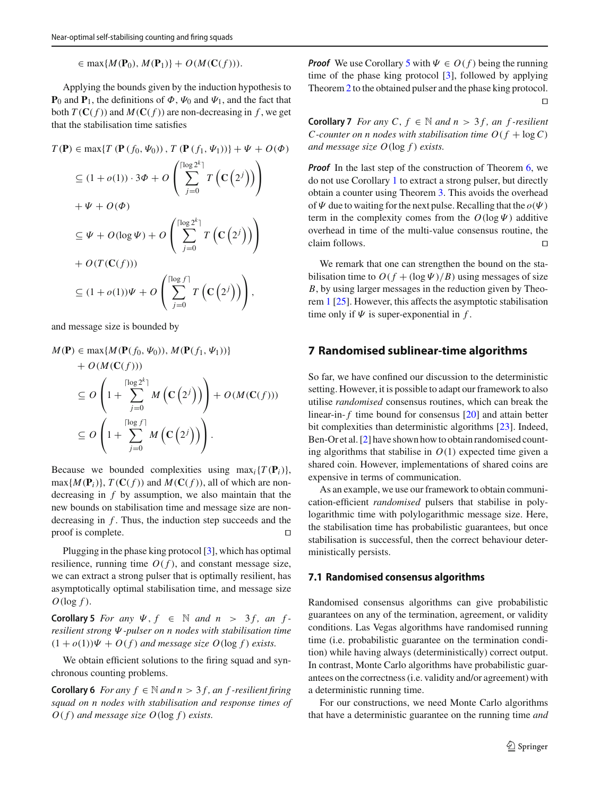$\in$  max $\{M(\mathbf{P}_0), M(\mathbf{P}_1)\} + O(M(\mathbf{C}(f))).$ 

Applying the bounds given by the induction hypothesis to **P**<sub>0</sub> and **P**<sub>1</sub>, the definitions of  $\Phi$ ,  $\Psi$ <sub>0</sub> and  $\Psi$ <sub>1</sub>, and the fact that both  $T(C(f))$  and  $M(C(f))$  are non-decreasing in f, we get that the stabilisation time satisfies

$$
T(\mathbf{P}) \in \max\{T(\mathbf{P}(f_0, \Psi_0)), T(\mathbf{P}(f_1, \Psi_1))\} + \Psi + O(\Phi)
$$
  
\n
$$
\subseteq (1 + o(1)) \cdot 3\Phi + O\left(\sum_{j=0}^{\lceil \log 2^k \rceil} T(\mathbf{C}(2^j))\right)
$$
  
\n
$$
+ \Psi + O(\Phi)
$$
  
\n
$$
\subseteq \Psi + O(\log \Psi) + O\left(\sum_{j=0}^{\lceil \log 2^k \rceil} T(\mathbf{C}(2^j))\right)
$$
  
\n
$$
+ O(T(\mathbf{C}(f)))
$$
  
\n
$$
\subseteq (1 + o(1))\Psi + O\left(\sum_{j=0}^{\lceil \log f \rceil} T(\mathbf{C}(2^j))\right),
$$

and message size is bounded by

$$
M(\mathbf{P}) \in \max\{M(\mathbf{P}(f_0, \Psi_0)), M(\mathbf{P}(f_1, \Psi_1))\}
$$
  
+  $O(M(\mathbf{C}(f)))$   

$$
\subseteq O\left(1 + \sum_{j=0}^{\lceil \log 2^k \rceil} M\left(\mathbf{C}\left(2^j\right)\right)\right) + O(M(\mathbf{C}(f)))
$$
  

$$
\subseteq O\left(1 + \sum_{j=0}^{\lceil \log f \rceil} M\left(\mathbf{C}\left(2^j\right)\right)\right).
$$

Because we bounded complexities using  $\max_i \{T(\mathbf{P}_i)\},\$  $max\{M(\mathbf{P}_i)\}, T(\mathbf{C}(f))$  and  $M(\mathbf{C}(f))$ , all of which are nondecreasing in *f* by assumption, we also maintain that the new bounds on stabilisation time and message size are nondecreasing in *f* . Thus, the induction step succeeds and the proof is complete.

Plugging in the phase king protocol [\[3](#page-20-3)], which has optimal resilience, running time  $O(f)$ , and constant message size, we can extract a strong pulser that is optimally resilient, has asymptotically optimal stabilisation time, and message size  $O(\log f)$ .

<span id="page-16-1"></span>**Corollary 5** *For any*  $\Psi$ ,  $f \in \mathbb{N}$  *and*  $n > 3f$ , *an*  $f$ *resilient strong* Ψ*-pulser on n nodes with stabilisation time*  $(1 + o(1))\Psi + O(f)$  *and message size*  $O(\log f)$  *exists.* 

We obtain efficient solutions to the firing squad and synchronous counting problems.

**Corollary 6** *For any*  $f \in \mathbb{N}$  *and*  $n > 3f$ *, an f-resilient firing squad on n nodes with stabilisation and response times of*  $O(f)$  *and message size*  $O(\log f)$  *exists.* 

*Proof* We use Corollary [5](#page-16-1) with  $\Psi \in O(f)$  being the running time of the phase king protocol [\[3\]](#page-20-3), followed by applying Theorem [2](#page-7-1) to the obtained pulser and the phase king protocol.  $\Box$ 

**Corollary 7** *For any C*,  $f \in \mathbb{N}$  *and n* > 3*f*, *an f*-resilient *C*-counter on n nodes with stabilisation time  $O(f + \log C)$ *and message size O*(log *f* ) *exists.*

*Proof* In the last step of the construction of Theorem [6,](#page-15-2) we do not use Corollary [1](#page-10-1) to extract a strong pulser, but directly obtain a counter using Theorem [3.](#page-9-0) This avoids the overhead of  $\Psi$  due to waiting for the next pulse. Recalling that the  $o(\Psi)$ term in the complexity comes from the  $O(\log \Psi)$  additive overhead in time of the multi-value consensus routine, the claim follows. 

We remark that one can strengthen the bound on the stabilisation time to  $O(f + (\log \Psi)/B)$  using messages of size *B*, by using larger messages in the reduction given by Theorem [1](#page-6-3) [\[25\]](#page-21-24). However, this affects the asymptotic stabilisation time only if  $\Psi$  is super-exponential in  $f$ .

## <span id="page-16-0"></span>**7 Randomised sublinear-time algorithms**

So far, we have confined our discussion to the deterministic setting. However, it is possible to adapt our framework to also utilise *randomised* consensus routines, which can break the linear-in- *f* time bound for consensus [\[20\]](#page-21-25) and attain better bit complexities than deterministic algorithms [\[23](#page-21-11)]. Indeed, Ben-Or et al. [\[2](#page-20-0)] have shown how to obtain randomised counting algorithms that stabilise in  $O(1)$  expected time given a shared coin. However, implementations of shared coins are expensive in terms of communication.

As an example, we use our framework to obtain communication-efficient *randomised* pulsers that stabilise in polylogarithmic time with polylogarithmic message size. Here, the stabilisation time has probabilistic guarantees, but once stabilisation is successful, then the correct behaviour deterministically persists.

#### **7.1 Randomised consensus algorithms**

Randomised consensus algorithms can give probabilistic guarantees on any of the termination, agreement, or validity conditions. Las Vegas algorithms have randomised running time (i.e. probabilistic guarantee on the termination condition) while having always (deterministically) correct output. In contrast, Monte Carlo algorithms have probabilistic guarantees on the correctness (i.e. validity and/or agreement) with a deterministic running time.

For our constructions, we need Monte Carlo algorithms that have a deterministic guarantee on the running time *and*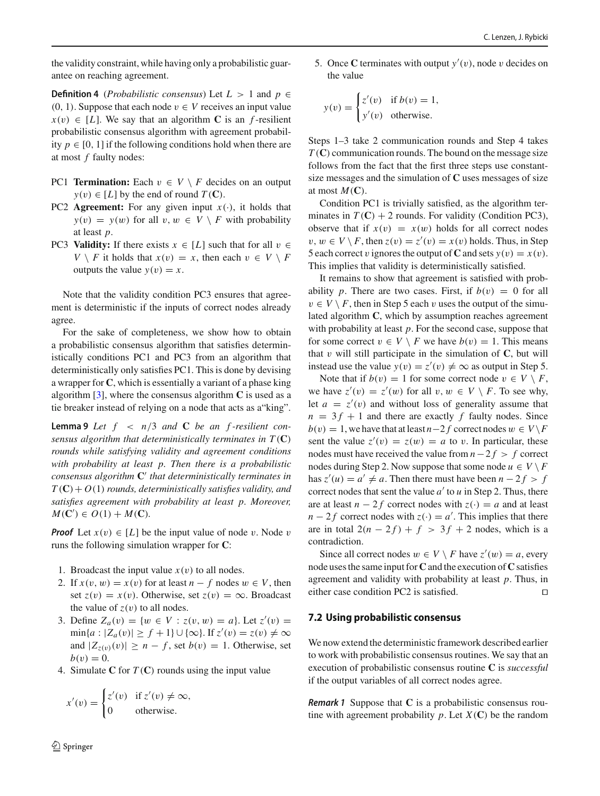the validity constraint, while having only a probabilistic guarantee on reaching agreement.

**Definition 4** (*Probabilistic consensus*) Let  $L > 1$  and  $p \in$ (0, 1). Suppose that each node  $v \in V$  receives an input value  $x(v) \in [L]$ . We say that an algorithm **C** is an *f*-resilient probabilistic consensus algorithm with agreement probability  $p \in [0, 1]$  if the following conditions hold when there are at most *f* faulty nodes:

- **PC1 Termination:** Each  $v \in V \setminus F$  decides on an output  $y(v) \in [L]$  by the end of round  $T(\mathbb{C})$ .
- PC2 **Agreement:** For any given input  $x(\cdot)$ , it holds that  $y(v) = y(w)$  for all  $v, w \in V \setminus F$  with probability at least *p*.
- PC3 Validity: If there exists  $x \in [L]$  such that for all  $v \in$ *V* \ *F* it holds that  $x(v) = x$ , then each  $v \in V \setminus F$ outputs the value  $y(v) = x$ .

Note that the validity condition PC3 ensures that agreement is deterministic if the inputs of correct nodes already agree.

For the sake of completeness, we show how to obtain a probabilistic consensus algorithm that satisfies deterministically conditions PC1 and PC3 from an algorithm that deterministically only satisfies PC1. This is done by devising a wrapper for **C**, which is essentially a variant of a phase king algorithm  $\lceil 3 \rceil$ , where the consensus algorithm **C** is used as a tie breaker instead of relying on a node that acts as a"king".

<span id="page-17-1"></span>**Lemma 9** *Let*  $f \le n/3$  *and* **C** *be an f-resilient consensus algorithm that deterministically terminates in T* (**C**) *rounds while satisfying validity and agreement conditions with probability at least p. Then there is a probabilistic consensus algorithm* **C**- *that deterministically terminates in*  $T(\mathbf{C})+O(1)$  *rounds, deterministically satisfies validity, and satisfies agreement with probability at least p. Moreover,*  $M(C') \in O(1) + M(C)$ .

*Proof* Let  $x(v) \in [L]$  be the input value of node v. Node v runs the following simulation wrapper for **C**:

- 1. Broadcast the input value  $x(v)$  to all nodes.
- 2. If  $x(v, w) = x(v)$  for at least  $n f$  nodes  $w \in V$ , then set  $z(v) = x(v)$ . Otherwise, set  $z(v) = \infty$ . Broadcast the value of  $z(v)$  to all nodes.
- 3. Define  $Z_a(v) = \{w \in V : z(v, w) = a\}$ . Let  $z'(v) =$  $\min\{a : |Z_a(v)| \ge f + 1\} \cup \{\infty\}$ . If  $z'(v) = z(v) \neq \infty$ and  $|Z_{z(v)}(v)| \ge n - f$ , set  $b(v) = 1$ . Otherwise, set  $b(v) = 0.$
- 4. Simulate **C** for *T* (**C**) rounds using the input value

$$
x'(v) = \begin{cases} z'(v) & \text{if } z'(v) \neq \infty, \\ 0 & \text{otherwise.} \end{cases}
$$

5. Once **C** terminates with output  $y'(v)$ , node v decides on the value

$$
y(v) = \begin{cases} z'(v) & \text{if } b(v) = 1, \\ y'(v) & \text{otherwise.} \end{cases}
$$

Steps 1–3 take 2 communication rounds and Step 4 takes *T* (**C**) communication rounds. The bound on the message size follows from the fact that the first three steps use constantsize messages and the simulation of **C** uses messages of size at most  $M(\mathbb{C})$ .

Condition PC1 is trivially satisfied, as the algorithm terminates in  $T(\mathbf{C}) + 2$  rounds. For validity (Condition PC3), observe that if  $x(v) = x(w)$  holds for all correct nodes  $v, w \in V \setminus F$ , then  $z(v) = z'(v) = x(v)$  holds. Thus, in Step 5 each correct *v* ignores the output of **C** and sets  $y(v) = x(v)$ . This implies that validity is deterministically satisfied.

It remains to show that agreement is satisfied with probability *p*. There are two cases. First, if  $b(v) = 0$  for all  $v \in V \setminus F$ , then in Step 5 each v uses the output of the simulated algorithm **C**, which by assumption reaches agreement with probability at least *p*. For the second case, suppose that for some correct  $v \in V \setminus F$  we have  $b(v) = 1$ . This means that  $v$  will still participate in the simulation of  $C$ , but will instead use the value  $y(v) = z'(v) \neq \infty$  as output in Step 5.

Note that if  $b(v) = 1$  for some correct node  $v \in V \setminus F$ , we have  $z'(v) = z'(w)$  for all  $v, w \in V \setminus F$ . To see why, let  $a = z'(v)$  and without loss of generality assume that  $n = 3f + 1$  and there are exactly f faulty nodes. Since  $b(v) = 1$ , we have that at least  $n-2f$  correct nodes  $w \in V \backslash F$ sent the value  $z'(v) = z(w) = a$  to v. In particular, these nodes must have received the value from  $n-2f > f$  correct nodes during Step 2. Now suppose that some node  $u \in V \setminus F$ has  $z'(u) = a' \neq a$ . Then there must have been  $n - 2f > f$ correct nodes that sent the value  $a'$  to  $u$  in Step 2. Thus, there are at least  $n - 2f$  correct nodes with  $z(\cdot) = a$  and at least  $n - 2f$  correct nodes with  $z(\cdot) = a'$ . This implies that there are in total  $2(n - 2f) + f > 3f + 2$  nodes, which is a contradiction.

Since all correct nodes  $w \in V \setminus F$  have  $z'(w) = a$ , every node uses the same input for **C** and the execution of **C** satisfies agreement and validity with probability at least *p*. Thus, in either case condition PC2 is satisfied. 

#### **7.2 Using probabilistic consensus**

We now extend the deterministic framework described earlier to work with probabilistic consensus routines. We say that an execution of probabilistic consensus routine **C** is *successful* if the output variables of all correct nodes agree.

<span id="page-17-0"></span>*Remark 1* Suppose that **C** is a probabilistic consensus routine with agreement probability  $p$ . Let  $X(\mathbb{C})$  be the random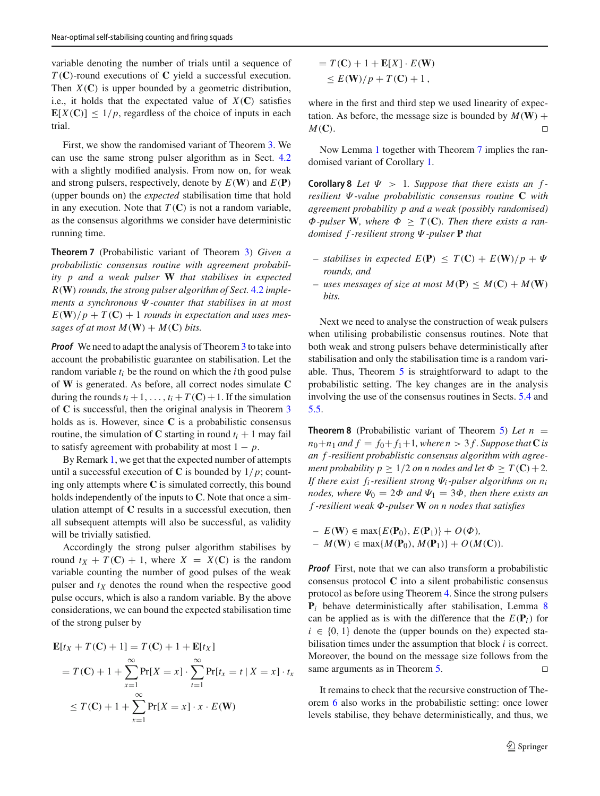variable denoting the number of trials until a sequence of *T* (**C**)-round executions of **C** yield a successful execution. Then  $X(\mathbb{C})$  is upper bounded by a geometric distribution, i.e., it holds that the expectated value of  $X(\mathbb{C})$  satisfies  $E[X(C)] \leq 1/p$ , regardless of the choice of inputs in each trial.

First, we show the randomised variant of Theorem [3.](#page-9-0) We can use the same strong pulser algorithm as in Sect. [4.2](#page-8-3) with a slightly modified analysis. From now on, for weak and strong pulsers, respectively, denote by  $E(\mathbf{W})$  and  $E(\mathbf{P})$ (upper bounds on) the *expected* stabilisation time that hold in any execution. Note that  $T(C)$  is not a random variable, as the consensus algorithms we consider have deterministic running time.

<span id="page-18-0"></span>**Theorem 7** (Probabilistic variant of Theorem [3\)](#page-9-0) *Given a probabilistic consensus routine with agreement probability p and a weak pulser* **W** *that stabilises in expected R*(**W**)*rounds, the strong pulser algorithm of Sect.* [4.2](#page-8-3) *implements a synchronous* Ψ*-counter that stabilises in at most*  $E(W)/p + T(C) + 1$  *rounds in expectation and uses messages of at most*  $M(W) + M(C)$  *bits.* 

*Proof* We need to adapt the analysis of Theorem [3](#page-9-0) to take into account the probabilistic guarantee on stabilisation. Let the random variable  $t_i$  be the round on which the *i*th good pulse of **W** is generated. As before, all correct nodes simulate **C** during the rounds  $t_i + 1, \ldots, t_i + T(C) + 1$ . If the simulation of **C** is successful, then the original analysis in Theorem [3](#page-9-0) holds as is. However, since **C** is a probabilistic consensus routine, the simulation of **C** starting in round  $t_i + 1$  may fail to satisfy agreement with probability at most  $1 - p$ .

By Remark [1,](#page-17-0) we get that the expected number of attempts until a successful execution of  $C$  is bounded by  $1/p$ ; counting only attempts where **C** is simulated correctly, this bound holds independently of the inputs to **C**. Note that once a simulation attempt of **C** results in a successful execution, then all subsequent attempts will also be successful, as validity will be trivially satisfied.

Accordingly the strong pulser algorithm stabilises by round  $t_X + T(C) + 1$ , where  $X = X(C)$  is the random variable counting the number of good pulses of the weak pulser and  $t_X$  denotes the round when the respective good pulse occurs, which is also a random variable. By the above considerations, we can bound the expected stabilisation time of the strong pulser by

$$
\begin{aligned} \mathbf{E}[t_X + T(\mathbf{C}) + 1] &= T(\mathbf{C}) + 1 + \mathbf{E}[t_X] \\ &= T(\mathbf{C}) + 1 + \sum_{x=1}^{\infty} \Pr[X = x] \cdot \sum_{t=1}^{\infty} \Pr[t_x = t \mid X = x] \cdot t_x \\ &\le T(\mathbf{C}) + 1 + \sum_{x=1}^{\infty} \Pr[X = x] \cdot x \cdot E(\mathbf{W}) \end{aligned}
$$

$$
= T(C) + 1 + E[X] \cdot E(W)
$$
  
\n
$$
\leq E(W)/p + T(C) + 1,
$$

where in the first and third step we used linearity of expectation. As before, the message size is bounded by  $M(\mathbf{W}) + M(\mathbf{C})$ .  $M(C)$ .

<span id="page-18-2"></span>Now Lemma [1](#page-6-2) together with Theorem [7](#page-18-0) implies the randomised variant of Corollary [1.](#page-10-1)

**Corollary 8** *Let*  $\Psi > 1$ *. Suppose that there exists an fresilient* Ψ*-value probabilistic consensus routine* **C** *with agreement probability p and a weak (possibly randomised)*  $\Phi$ *-pulser* **W***, where*  $\Phi > T(C)$ *. Then there exists a randomised f -resilient strong* Ψ*-pulser* **P** *that*

- *stabilises in expected*  $E(\mathbf{P}) \leq T(\mathbf{C}) + E(\mathbf{W})/p + \Psi$ *rounds, and*
- *uses messages of size at most*  $M(\mathbf{P}) \leq M(\mathbf{C}) + M(\mathbf{W})$ *bits.*

Next we need to analyse the construction of weak pulsers when utilising probabilistic consensus routines. Note that both weak and strong pulsers behave deterministically after stabilisation and only the stabilisation time is a random variable. Thus, Theorem [5](#page-15-1) is straightforward to adapt to the probabilistic setting. The key changes are in the analysis involving the use of the consensus routines in Sects. [5.4](#page-13-1) and [5.5.](#page-14-4)

<span id="page-18-1"></span>**Theorem 8** (Probabilistic variant of Theorem [5\)](#page-15-1) Let  $n =$  $n_0+n_1$  *and*  $f = f_0+f_1+1$ *, where*  $n > 3$  *f. Suppose that* **C** *is an f -resilient probablistic consensus algorithm with agreement probability*  $p \geq 1/2$  *<i>on n nodes and let*  $\Phi \geq T(\mathbb{C})+2$ *. If there exist fi-resilient strong* Ψ*i-pulser algorithms on ni nodes, where*  $\Psi_0 = 2\Phi$  *and*  $\Psi_1 = 3\Phi$ *, then there exists an f -resilient weak* Φ*-pulser* **W** *on n nodes that satisfies*

$$
- E(\mathbf{W}) \in \max\{E(\mathbf{P}_0), E(\mathbf{P}_1)\} + O(\Phi),
$$
  

$$
- M(\mathbf{W}) \in \max\{M(\mathbf{P}_0), M(\mathbf{P}_1)\} + O(M(\mathbf{C})).
$$

*Proof* First, note that we can also transform a probabilistic consensus protocol **C** into a silent probabilistic consensus protocol as before using Theorem [4.](#page-12-2) Since the strong pulsers **P***<sup>i</sup>* behave deterministically after stabilisation, Lemma [8](#page-14-3) can be applied as is with the difference that the  $E(\mathbf{P}_i)$  for  $i \in \{0, 1\}$  denote the (upper bounds on the) expected stabilisation times under the assumption that block *i* is correct. Moreover, the bound on the message size follows from the same arguments as in Theorem [5.](#page-15-1)

It remains to check that the recursive construction of Theorem [6](#page-15-2) also works in the probabilistic setting: once lower levels stabilise, they behave deterministically, and thus, we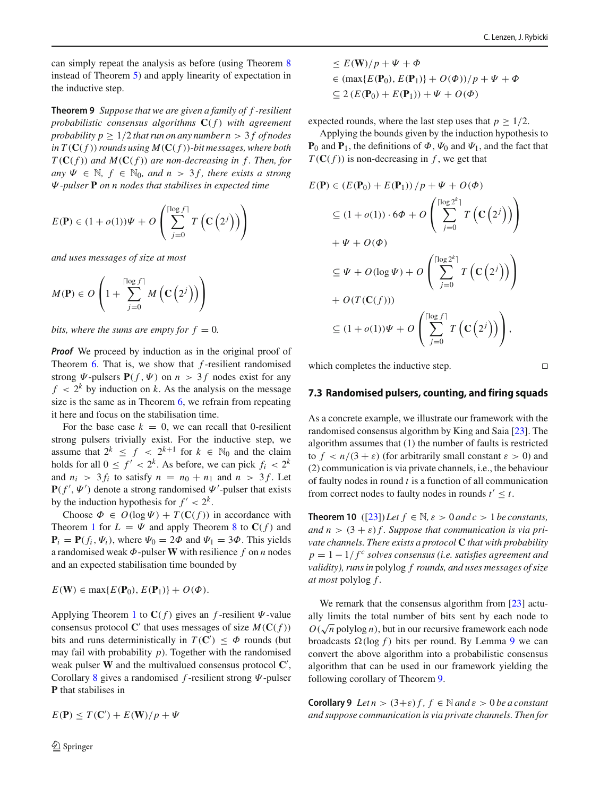<span id="page-19-0"></span>can simply repeat the analysis as before (using Theorem [8](#page-18-1) instead of Theorem [5\)](#page-15-1) and apply linearity of expectation in the inductive step.

**Theorem 9** *Suppose that we are given a family of f -resilient probabilistic consensus algorithms* **C**( *f* ) *with agreement probability*  $p \geq 1/2$  *<i>that run on any number n* > 3 *f of nodes in T* (**C**( *f* ))*rounds using M*(**C**( *f* ))*-bit messages, where both*  $T(C(f))$  *and*  $M(C(f))$  *are non-decreasing in f. Then, for any*  $\Psi \in \mathbb{N}$ ,  $f \in \mathbb{N}_0$ , and  $n > 3f$ , there exists a strong Ψ*-pulser* **P** *on n nodes that stabilises in expected time*

$$
E(\mathbf{P}) \in (1 + o(1))\Psi + O\left(\sum_{j=0}^{\lceil \log f \rceil} T\left(\mathbf{C}\left(2^{j}\right)\right)\right)
$$

*and uses messages of size at most*

$$
M(\mathbf{P}) \in O\left(1 + \sum_{j=0}^{\lceil \log f \rceil} M\left(\mathbf{C}\left(2^{j}\right)\right)\right)
$$

*bits, where the sums are empty for*  $f = 0$ *.* 

*Proof* We proceed by induction as in the original proof of Theorem [6.](#page-15-2) That is, we show that *f* -resilient randomised strong  $\Psi$ -pulsers  $P(f, \Psi)$  on  $n > 3f$  nodes exist for any  $f < 2<sup>k</sup>$  by induction on *k*. As the analysis on the message size is the same as in Theorem [6,](#page-15-2) we refrain from repeating it here and focus on the stabilisation time.

For the base case  $k = 0$ , we can recall that 0-resilient strong pulsers trivially exist. For the inductive step, we assume that  $2^k \leq f \leq 2^{k+1}$  for  $k \in \mathbb{N}_0$  and the claim holds for all  $0 \le f' < 2^k$ . As before, we can pick  $f_i < 2^k$ and  $n_i > 3f_i$  to satisfy  $n = n_0 + n_1$  and  $n > 3f$ . Let  ${\bf P}(f',\Psi')$  denote a strong randomised  $\Psi'$ -pulser that exists by the induction hypothesis for  $f' < 2^k$ .

Choose  $\Phi \in O(\log \Psi) + T(\mathbb{C}(f))$  in accordance with Theorem [1](#page-6-3) for  $L = \Psi$  and apply Theorem [8](#page-18-1) to  $C(f)$  and  $P_i = P(f_i, \Psi_i)$ , where  $\Psi_0 = 2\Phi$  and  $\Psi_1 = 3\Phi$ . This yields a randomised weak Φ-pulser **W** with resilience *f* on *n* nodes and an expected stabilisation time bounded by

 $E$ (**W**) ∈ max{ $E$ (**P**<sub>0</sub>),  $E$ (**P**<sub>1</sub>)} +  $O$ ( $\Phi$ ).

Applying Theorem [1](#page-6-3) to  $C(f)$  gives an *f*-resilient  $\Psi$ -value consensus protocol **C**<sup> $\prime$ </sup> that uses messages of size  $M(C(f))$ bits and runs deterministically in  $T(\mathbb{C}') \leq \Phi$  rounds (but may fail with probability *p*). Together with the randomised weak pulser **W** and the multivalued consensus protocol **C**', Corollary [8](#page-18-2) gives a randomised *f* -resilient strong Ψ-pulser **P** that stabilises in

$$
E(\mathbf{P}) \le T(\mathbf{C}') + E(\mathbf{W})/p + \Psi
$$

$$
\leq E(\mathbf{W})/p + \Psi + \Phi
$$
  
\n
$$
\in (\max\{E(\mathbf{P}_0), E(\mathbf{P}_1)\} + O(\Phi))/p + \Psi + \Phi
$$
  
\n
$$
\subseteq 2(E(\mathbf{P}_0) + E(\mathbf{P}_1)) + \Psi + O(\Phi)
$$

expected rounds, where the last step uses that  $p \geq 1/2$ .

Applying the bounds given by the induction hypothesis to **P**<sub>0</sub> and **P**<sub>1</sub>, the definitions of  $\Phi$ ,  $\Psi$ <sub>0</sub> and  $\Psi$ <sub>1</sub>, and the fact that  $T(C(f))$  is non-decreasing in *f*, we get that

$$
E(\mathbf{P}) \in (E(\mathbf{P}_0) + E(\mathbf{P}_1))/p + \Psi + O(\Phi)
$$
  
\n
$$
\subseteq (1 + o(1)) \cdot 6\Phi + O\left(\sum_{j=0}^{\lceil \log 2^k \rceil} T\left(\mathbf{C}\left(2^j\right)\right)\right)
$$
  
\n
$$
+ \Psi + O(\Phi)
$$
  
\n
$$
\subseteq \Psi + O(\log \Psi) + O\left(\sum_{j=0}^{\lceil \log 2^k \rceil} T\left(\mathbf{C}\left(2^j\right)\right)\right)
$$
  
\n
$$
+ O(T(\mathbf{C}(f)))
$$
  
\n
$$
\subseteq (1 + o(1))\Psi + O\left(\sum_{j=0}^{\lceil \log f \rceil} T\left(\mathbf{C}\left(2^j\right)\right)\right),
$$

which completes the inductive step.

# **7.3 Randomised pulsers, counting, and firing squads**

As a concrete example, we illustrate our framework with the randomised consensus algorithm by King and Saia [\[23\]](#page-21-11). The algorithm assumes that (1) the number of faults is restricted to  $f \leq n/(3 + \varepsilon)$  (for arbitrarily small constant  $\varepsilon > 0$ ) and (2) communication is via private channels, i.e., the behaviour of faulty nodes in round *t* is a function of all communication from correct nodes to faulty nodes in rounds  $t' \leq t$ .

<span id="page-19-2"></span>**Theorem 10** ([\[23\]](#page-21-11)) Let  $f \in \mathbb{N}$ ,  $\varepsilon > 0$  and  $c > 1$  be constants, *and n* >  $(3 + \varepsilon) f$ . Suppose that communication is via pri*vate channels. There exists a protocol* **C** *that with probability*  $p = 1 - 1/f<sup>c</sup>$  *solves consensus (i.e. satisfies agreement and validity), runs in* polylog *f rounds, and uses messages of size at most* polylog *f .*

We remark that the consensus algorithm from [\[23](#page-21-11)] actually limits the total number of bits sent by each node to  $O(\sqrt{n} \text{ polylog } n)$ , but in our recursive framework each node broadcasts  $\Omega(\log f)$  bits per round. By Lemma [9](#page-17-1) we can convert the above algorithm into a probabilistic consensus algorithm that can be used in our framework yielding the following corollary of Theorem [9.](#page-19-0)

<span id="page-19-1"></span>**Corollary 9** *Let*  $n > (3+\varepsilon)f$ ,  $f \in \mathbb{N}$  *and*  $\varepsilon > 0$  *be a constant and suppose communication is via private channels. Then for*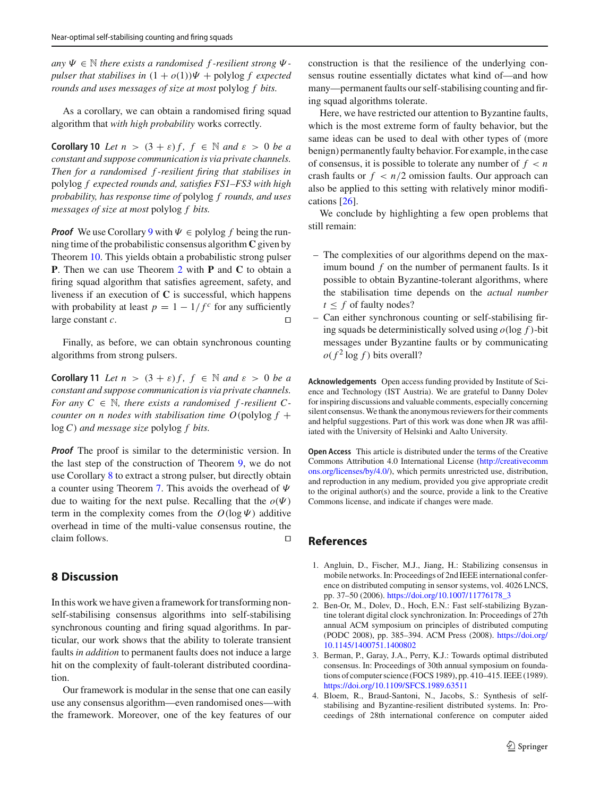$any \Psi \in \mathbb{N}$  *there exists a randomised f-resilient strong*  $\Psi$ *pulser that stabilises in*  $(1 + o(1))\Psi + \text{polylog } f$  *expected rounds and uses messages of size at most* polylog *f bits.*

As a corollary, we can obtain a randomised firing squad algorithm that *with high probability* works correctly.

**Corollary 10** *Let*  $n > (3 + \varepsilon)f$ ,  $f \in \mathbb{N}$  *and*  $\varepsilon > 0$  *be a constant and suppose communication is via private channels. Then for a randomised f -resilient firing that stabilises in* polylog *f expected rounds and, satisfies FS1–FS3 with high probability, has response time of* polylog *f rounds, and uses messages of size at most* polylog *f bits.*

*Proof* We use Corollary [9](#page-19-1) with  $\Psi \in \text{polylog } f$  being the running time of the probabilistic consensus algorithm **C** given by Theorem [10.](#page-19-2) This yields obtain a probabilistic strong pulser **P**. Then we can use Theorem [2](#page-7-1) with **P** and **C** to obtain a firing squad algorithm that satisfies agreement, safety, and liveness if an execution of **C** is successful, which happens with probability at least  $p = 1 - 1/f^c$  for any sufficiently large constant  $c$ large constant *c*. 

Finally, as before, we can obtain synchronous counting algorithms from strong pulsers.

**Corollary 11** *Let*  $n > (3 + \varepsilon)f$ ,  $f \in \mathbb{N}$  *and*  $\varepsilon > 0$  *be a constant and suppose communication is via private channels. For any*  $C \in \mathbb{N}$ , there exists a randomised f-resilient C*counter on n nodes with stabilisation time O*(polylog  $f$  + log*C*) *and message size* polylog *f bits.*

*Proof* The proof is similar to the deterministic version. In the last step of the construction of Theorem [9,](#page-19-0) we do not use Corollary [8](#page-18-2) to extract a strong pulser, but directly obtain a counter using Theorem [7.](#page-18-0) This avoids the overhead of  $\Psi$ due to waiting for the next pulse. Recalling that the  $o(\Psi)$ term in the complexity comes from the  $O(\log \Psi)$  additive overhead in time of the multi-value consensus routine, the claim follows.  $\Box$ 

## **8 Discussion**

In this work we have given a framework for transforming nonself-stabilising consensus algorithms into self-stabilising synchronous counting and firing squad algorithms. In particular, our work shows that the ability to tolerate transient faults *in addition* to permanent faults does not induce a large hit on the complexity of fault-tolerant distributed coordination.

Our framework is modular in the sense that one can easily use any consensus algorithm—even randomised ones—with the framework. Moreover, one of the key features of our construction is that the resilience of the underlying consensus routine essentially dictates what kind of—and how many—permanent faults our self-stabilising counting and firing squad algorithms tolerate.

Here, we have restricted our attention to Byzantine faults, which is the most extreme form of faulty behavior, but the same ideas can be used to deal with other types of (more benign) permanently faulty behavior. For example, in the case of consensus, it is possible to tolerate any number of  $f < n$ crash faults or  $f < n/2$  omission faults. Our approach can also be applied to this setting with relatively minor modifications [\[26](#page-21-26)].

We conclude by highlighting a few open problems that still remain:

- The complexities of our algorithms depend on the maximum bound *f* on the number of permanent faults. Is it possible to obtain Byzantine-tolerant algorithms, where the stabilisation time depends on the *actual number*  $t \leq f$  of faulty nodes?
- Can either synchronous counting or self-stabilising firing squads be deterministically solved using  $o(\log f)$ -bit messages under Byzantine faults or by communicating  $o(f^2 \log f)$  bits overall?

**Acknowledgements** Open access funding provided by Institute of Science and Technology (IST Austria). We are grateful to Danny Dolev for inspiring discussions and valuable comments, especially concerning silent consensus.We thank the anonymous reviewers for their comments and helpful suggestions. Part of this work was done when JR was affiliated with the University of Helsinki and Aalto University.

**Open Access** This article is distributed under the terms of the Creative Commons Attribution 4.0 International License [\(http://creativecomm](http://creativecommons.org/licenses/by/4.0/) [ons.org/licenses/by/4.0/\)](http://creativecommons.org/licenses/by/4.0/), which permits unrestricted use, distribution, and reproduction in any medium, provided you give appropriate credit to the original author(s) and the source, provide a link to the Creative Commons license, and indicate if changes were made.

## **References**

- <span id="page-20-1"></span>1. Angluin, D., Fischer, M.J., Jiang, H.: Stabilizing consensus in mobile networks. In: Proceedings of 2nd IEEE international conference on distributed computing in sensor systems, vol. 4026 LNCS, pp. 37–50 (2006). [https://doi.org/10.1007/11776178\\_3](https://doi.org/10.1007/11776178_3)
- <span id="page-20-0"></span>2. Ben-Or, M., Dolev, D., Hoch, E.N.: Fast self-stabilizing Byzantine tolerant digital clock synchronization. In: Proceedings of 27th annual ACM symposium on principles of distributed computing (PODC 2008), pp. 385–394. ACM Press (2008). [https://doi.org/](https://doi.org/10.1145/1400751.1400802) [10.1145/1400751.1400802](https://doi.org/10.1145/1400751.1400802)
- <span id="page-20-3"></span>3. Berman, P., Garay, J.A., Perry, K.J.: Towards optimal distributed consensus. In: Proceedings of 30th annual symposium on foundations of computer science (FOCS 1989), pp. 410–415. IEEE (1989). <https://doi.org/10.1109/SFCS.1989.63511>
- <span id="page-20-2"></span>4. Bloem, R., Braud-Santoni, N., Jacobs, S.: Synthesis of selfstabilising and Byzantine-resilient distributed systems. In: Proceedings of 28th international conference on computer aided